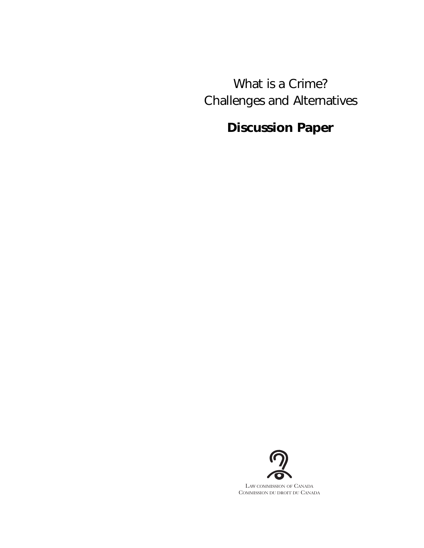What is a Crime? Challenges and Alternatives

# **Discussion Paper**



LAW COMMISSION OF CANADA COMMISSION DU DROIT DU CANADA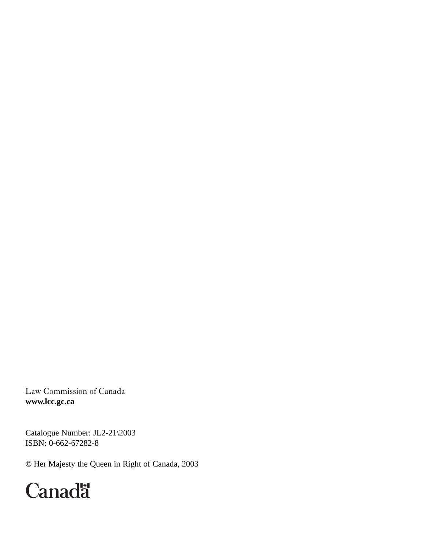Law Commission of Canada **www.lcc.gc.ca**

Catalogue Number: JL2-21\2003 ISBN: 0-662-67282-8

© Her Majesty the Queen in Right of Canada, 2003

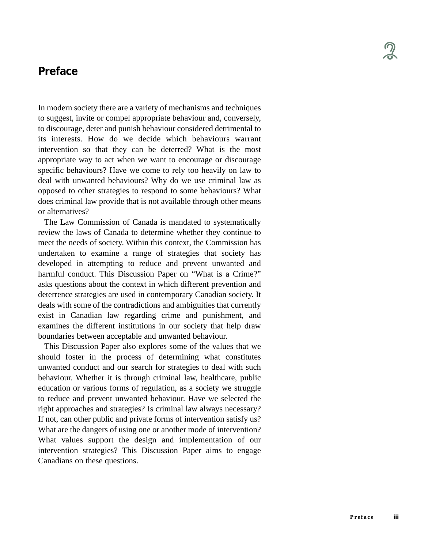# **Preface**

In modern society there are a variety of mechanisms and techniques to suggest, invite or compel appropriate behaviour and, conversely, to discourage, deter and punish behaviour considered detrimental to its interests. How do we decide which behaviours warrant intervention so that they can be deterred? What is the most appropriate way to act when we want to encourage or discourage specific behaviours? Have we come to rely too heavily on law to deal with unwanted behaviours? Why do we use criminal law as opposed to other strategies to respond to some behaviours? What does criminal law provide that is not available through other means or alternatives?

The Law Commission of Canada is mandated to systematically review the laws of Canada to determine whether they continue to meet the needs of society. Within this context, the Commission has undertaken to examine a range of strategies that society has developed in attempting to reduce and prevent unwanted and harmful conduct. This Discussion Paper on "What is a Crime?" asks questions about the context in which different prevention and deterrence strategies are used in contemporary Canadian society. It deals with some of the contradictions and ambiguities that currently exist in Canadian law regarding crime and punishment, and examines the different institutions in our society that help draw boundaries between acceptable and unwanted behaviour.

This Discussion Paper also explores some of the values that we should foster in the process of determining what constitutes unwanted conduct and our search for strategies to deal with such behaviour. Whether it is through criminal law, healthcare, public education or various forms of regulation, as a society we struggle to reduce and prevent unwanted behaviour. Have we selected the right approaches and strategies? Is criminal law always necessary? If not, can other public and private forms of intervention satisfy us? What are the dangers of using one or another mode of intervention? What values support the design and implementation of our intervention strategies? This Discussion Paper aims to engage Canadians on these questions.

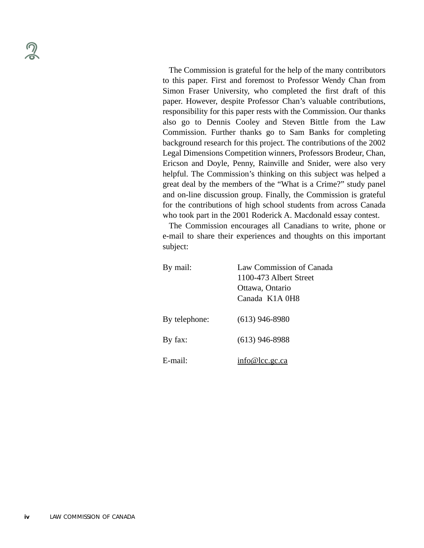The Commission is grateful for the help of the many contributors to this paper. First and foremost to Professor Wendy Chan from Simon Fraser University, who completed the first draft of this paper. However, despite Professor Chan's valuable contributions, responsibility for this paper rests with the Commission. Our thanks also go to Dennis Cooley and Steven Bittle from the Law Commission. Further thanks go to Sam Banks for completing background research for this project. The contributions of the 2002 Legal Dimensions Competition winners, Professors Brodeur, Chan, Ericson and Doyle, Penny, Rainville and Snider, were also very helpful. The Commission's thinking on this subject was helped a great deal by the members of the "What is a Crime?" study panel and on-line discussion group. Finally, the Commission is grateful for the contributions of high school students from across Canada who took part in the 2001 Roderick A. Macdonald essay contest.

The Commission encourages all Canadians to write, phone or e-mail to share their experiences and thoughts on this important subject:

| By mail:      | Law Commission of Canada<br>1100-473 Albert Street<br>Ottawa, Ontario<br>Canada K1A 0H8 |
|---------------|-----------------------------------------------------------------------------------------|
| By telephone: | $(613)$ 946-8980                                                                        |
| By fax:       | $(613)$ 946-8988                                                                        |
| $E$ -mail:    | info@lcc.gc.ca                                                                          |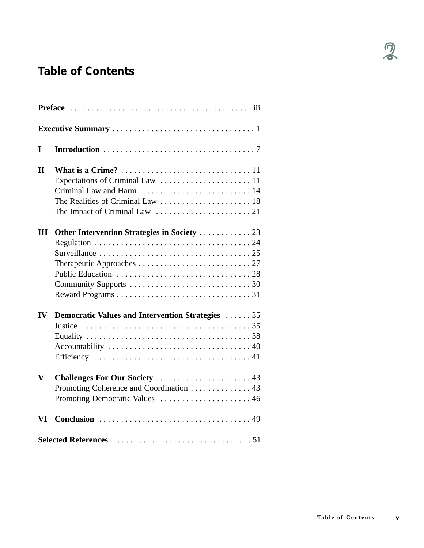# **Table of Contents**

| L            |                                                                                                              |  |
|--------------|--------------------------------------------------------------------------------------------------------------|--|
| $\mathbf{I}$ |                                                                                                              |  |
|              | Criminal Law and Harm  14                                                                                    |  |
| III          | Other Intervention Strategies in Society  23                                                                 |  |
|              |                                                                                                              |  |
|              |                                                                                                              |  |
|              |                                                                                                              |  |
| IV           | <b>Democratic Values and Intervention Strategies 35</b>                                                      |  |
|              |                                                                                                              |  |
| $\mathbf{V}$ | Challenges For Our Society  43<br>Promoting Coherence and Coordination 43<br>Promoting Democratic Values  46 |  |
| VI           |                                                                                                              |  |
|              |                                                                                                              |  |

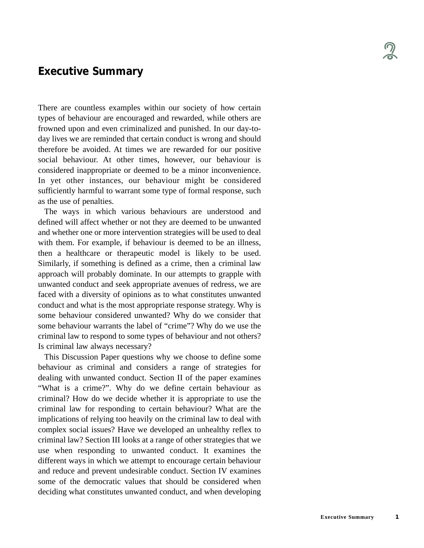# **Executive Summary**

There are countless examples within our society of how certain types of behaviour are encouraged and rewarded, while others are frowned upon and even criminalized and punished. In our day-today lives we are reminded that certain conduct is wrong and should therefore be avoided. At times we are rewarded for our positive social behaviour. At other times, however, our behaviour is considered inappropriate or deemed to be a minor inconvenience. In yet other instances, our behaviour might be considered sufficiently harmful to warrant some type of formal response, such as the use of penalties.

The ways in which various behaviours are understood and defined will affect whether or not they are deemed to be unwanted and whether one or more intervention strategies will be used to deal with them. For example, if behaviour is deemed to be an illness, then a healthcare or therapeutic model is likely to be used. Similarly, if something is defined as a crime, then a criminal law approach will probably dominate. In our attempts to grapple with unwanted conduct and seek appropriate avenues of redress, we are faced with a diversity of opinions as to what constitutes unwanted conduct and what is the most appropriate response strategy. Why is some behaviour considered unwanted? Why do we consider that some behaviour warrants the label of "crime"? Why do we use the criminal law to respond to some types of behaviour and not others? Is criminal law always necessary?

This Discussion Paper questions why we choose to define some behaviour as criminal and considers a range of strategies for dealing with unwanted conduct. Section II of the paper examines "What is a crime?". Why do we define certain behaviour as criminal? How do we decide whether it is appropriate to use the criminal law for responding to certain behaviour? What are the implications of relying too heavily on the criminal law to deal with complex social issues? Have we developed an unhealthy reflex to criminal law? Section III looks at a range of other strategies that we use when responding to unwanted conduct. It examines the different ways in which we attempt to encourage certain behaviour and reduce and prevent undesirable conduct. Section IV examines some of the democratic values that should be considered when deciding what constitutes unwanted conduct, and when developing

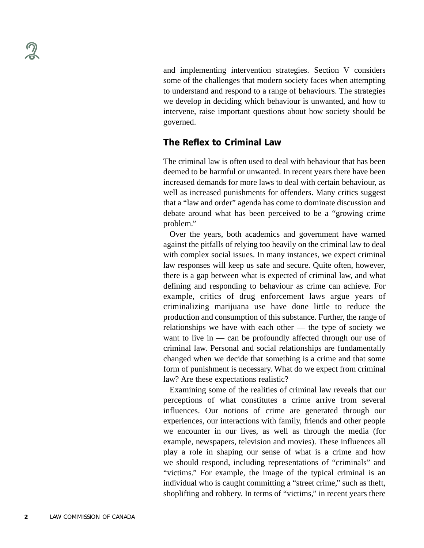and implementing intervention strategies. Section V considers some of the challenges that modern society faces when attempting to understand and respond to a range of behaviours. The strategies we develop in deciding which behaviour is unwanted, and how to intervene, raise important questions about how society should be governed.

## **The Reflex to Criminal Law**

The criminal law is often used to deal with behaviour that has been deemed to be harmful or unwanted. In recent years there have been increased demands for more laws to deal with certain behaviour, as well as increased punishments for offenders. Many critics suggest that a "law and order" agenda has come to dominate discussion and debate around what has been perceived to be a "growing crime problem."

Over the years, both academics and government have warned against the pitfalls of relying too heavily on the criminal law to deal with complex social issues. In many instances, we expect criminal law responses will keep us safe and secure. Quite often, however, there is a gap between what is expected of criminal law, and what defining and responding to behaviour as crime can achieve. For example, critics of drug enforcement laws argue years of criminalizing marijuana use have done little to reduce the production and consumption of this substance. Further, the range of relationships we have with each other — the type of society we want to live in — can be profoundly affected through our use of criminal law. Personal and social relationships are fundamentally changed when we decide that something is a crime and that some form of punishment is necessary. What do we expect from criminal law? Are these expectations realistic?

Examining some of the realities of criminal law reveals that our perceptions of what constitutes a crime arrive from several influences. Our notions of crime are generated through our experiences, our interactions with family, friends and other people we encounter in our lives, as well as through the media (for example, newspapers, television and movies). These influences all play a role in shaping our sense of what is a crime and how we should respond, including representations of "criminals" and "victims." For example, the image of the typical criminal is an individual who is caught committing a "street crime," such as theft, shoplifting and robbery. In terms of "victims," in recent years there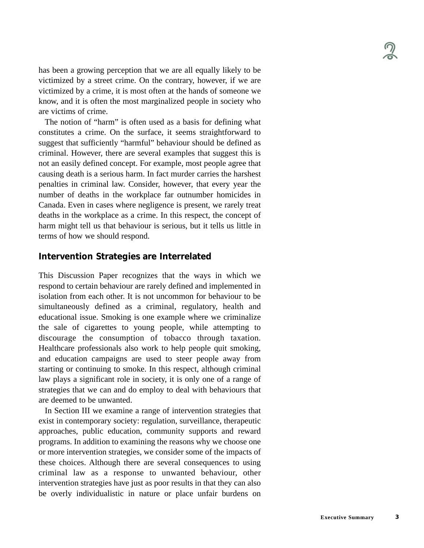has been a growing perception that we are all equally likely to be victimized by a street crime. On the contrary, however, if we are victimized by a crime, it is most often at the hands of someone we know, and it is often the most marginalized people in society who are victims of crime.

The notion of "harm" is often used as a basis for defining what constitutes a crime. On the surface, it seems straightforward to suggest that sufficiently "harmful" behaviour should be defined as criminal. However, there are several examples that suggest this is not an easily defined concept. For example, most people agree that causing death is a serious harm. In fact murder carries the harshest penalties in criminal law. Consider, however, that every year the number of deaths in the workplace far outnumber homicides in Canada. Even in cases where negligence is present, we rarely treat deaths in the workplace as a crime. In this respect, the concept of harm might tell us that behaviour is serious, but it tells us little in terms of how we should respond.

## **Intervention Strategies are Interrelated**

This Discussion Paper recognizes that the ways in which we respond to certain behaviour are rarely defined and implemented in isolation from each other. It is not uncommon for behaviour to be simultaneously defined as a criminal, regulatory, health and educational issue. Smoking is one example where we criminalize the sale of cigarettes to young people, while attempting to discourage the consumption of tobacco through taxation. Healthcare professionals also work to help people quit smoking, and education campaigns are used to steer people away from starting or continuing to smoke. In this respect, although criminal law plays a significant role in society, it is only one of a range of strategies that we can and do employ to deal with behaviours that are deemed to be unwanted.

In Section III we examine a range of intervention strategies that exist in contemporary society: regulation, surveillance, therapeutic approaches, public education, community supports and reward programs. In addition to examining the reasons why we choose one or more intervention strategies, we consider some of the impacts of these choices. Although there are several consequences to using criminal law as a response to unwanted behaviour, other intervention strategies have just as poor results in that they can also be overly individualistic in nature or place unfair burdens on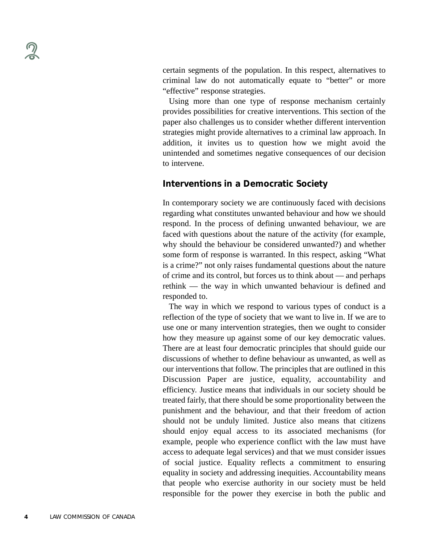certain segments of the population. In this respect, alternatives to criminal law do not automatically equate to "better" or more "effective" response strategies.

Using more than one type of response mechanism certainly provides possibilities for creative interventions. This section of the paper also challenges us to consider whether different intervention strategies might provide alternatives to a criminal law approach. In addition, it invites us to question how we might avoid the unintended and sometimes negative consequences of our decision to intervene.

## **Interventions in a Democratic Society**

In contemporary society we are continuously faced with decisions regarding what constitutes unwanted behaviour and how we should respond. In the process of defining unwanted behaviour, we are faced with questions about the nature of the activity (for example, why should the behaviour be considered unwanted?) and whether some form of response is warranted. In this respect, asking "What is a crime?" not only raises fundamental questions about the nature of crime and its control, but forces us to think about — and perhaps rethink — the way in which unwanted behaviour is defined and responded to.

The way in which we respond to various types of conduct is a reflection of the type of society that we want to live in. If we are to use one or many intervention strategies, then we ought to consider how they measure up against some of our key democratic values. There are at least four democratic principles that should guide our discussions of whether to define behaviour as unwanted, as well as our interventions that follow. The principles that are outlined in this Discussion Paper are justice, equality, accountability and efficiency. Justice means that individuals in our society should be treated fairly, that there should be some proportionality between the punishment and the behaviour, and that their freedom of action should not be unduly limited. Justice also means that citizens should enjoy equal access to its associated mechanisms (for example, people who experience conflict with the law must have access to adequate legal services) and that we must consider issues of social justice. Equality reflects a commitment to ensuring equality in society and addressing inequities. Accountability means that people who exercise authority in our society must be held responsible for the power they exercise in both the public and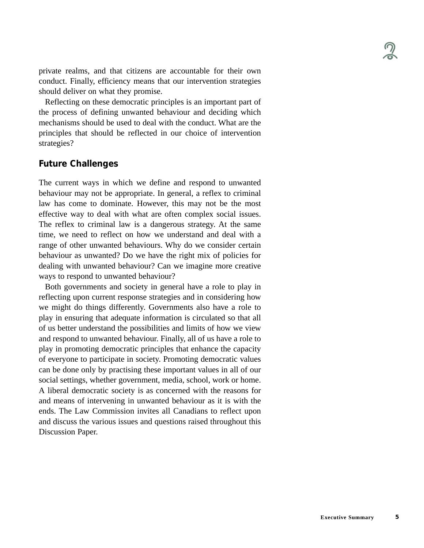private realms, and that citizens are accountable for their own conduct. Finally, efficiency means that our intervention strategies should deliver on what they promise.

Reflecting on these democratic principles is an important part of the process of defining unwanted behaviour and deciding which mechanisms should be used to deal with the conduct. What are the principles that should be reflected in our choice of intervention strategies?

## **Future Challenges**

The current ways in which we define and respond to unwanted behaviour may not be appropriate. In general, a reflex to criminal law has come to dominate. However, this may not be the most effective way to deal with what are often complex social issues. The reflex to criminal law is a dangerous strategy. At the same time, we need to reflect on how we understand and deal with a range of other unwanted behaviours. Why do we consider certain behaviour as unwanted? Do we have the right mix of policies for dealing with unwanted behaviour? Can we imagine more creative ways to respond to unwanted behaviour?

Both governments and society in general have a role to play in reflecting upon current response strategies and in considering how we might do things differently. Governments also have a role to play in ensuring that adequate information is circulated so that all of us better understand the possibilities and limits of how we view and respond to unwanted behaviour. Finally, all of us have a role to play in promoting democratic principles that enhance the capacity of everyone to participate in society. Promoting democratic values can be done only by practising these important values in all of our social settings, whether government, media, school, work or home. A liberal democratic society is as concerned with the reasons for and means of intervening in unwanted behaviour as it is with the ends. The Law Commission invites all Canadians to reflect upon and discuss the various issues and questions raised throughout this Discussion Paper.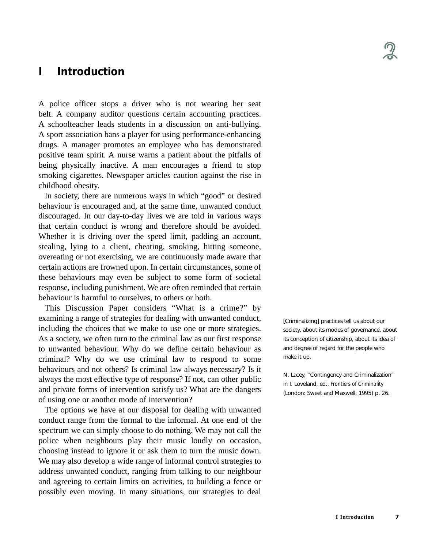# **I Introduction**

A police officer stops a driver who is not wearing her seat belt. A company auditor questions certain accounting practices. A schoolteacher leads students in a discussion on anti-bullying. A sport association bans a player for using performance-enhancing drugs. A manager promotes an employee who has demonstrated positive team spirit. A nurse warns a patient about the pitfalls of being physically inactive. A man encourages a friend to stop smoking cigarettes. Newspaper articles caution against the rise in childhood obesity.

In society, there are numerous ways in which "good" or desired behaviour is encouraged and, at the same time, unwanted conduct discouraged. In our day-to-day lives we are told in various ways that certain conduct is wrong and therefore should be avoided. Whether it is driving over the speed limit, padding an account, stealing, lying to a client, cheating, smoking, hitting someone, overeating or not exercising, we are continuously made aware that certain actions are frowned upon. In certain circumstances, some of these behaviours may even be subject to some form of societal response, including punishment. We are often reminded that certain behaviour is harmful to ourselves, to others or both.

This Discussion Paper considers "What is a crime?" by examining a range of strategies for dealing with unwanted conduct, including the choices that we make to use one or more strategies. As a society, we often turn to the criminal law as our first response to unwanted behaviour. Why do we define certain behaviour as criminal? Why do we use criminal law to respond to some behaviours and not others? Is criminal law always necessary? Is it always the most effective type of response? If not, can other public and private forms of intervention satisfy us? What are the dangers of using one or another mode of intervention?

The options we have at our disposal for dealing with unwanted conduct range from the formal to the informal. At one end of the spectrum we can simply choose to do nothing. We may not call the police when neighbours play their music loudly on occasion, choosing instead to ignore it or ask them to turn the music down. We may also develop a wide range of informal control strategies to address unwanted conduct, ranging from talking to our neighbour and agreeing to certain limits on activities, to building a fence or possibly even moving. In many situations, our strategies to deal [Criminalizing] practices tell us about our society, about its modes of governance, about its conception of citizenship, about its idea of and degree of regard for the people who make it up.

N. Lacey, "Contingency and Criminalization" in I. Loveland, ed., *Frontiers of Criminality* (London: Sweet and Maxwell, 1995) p. 26.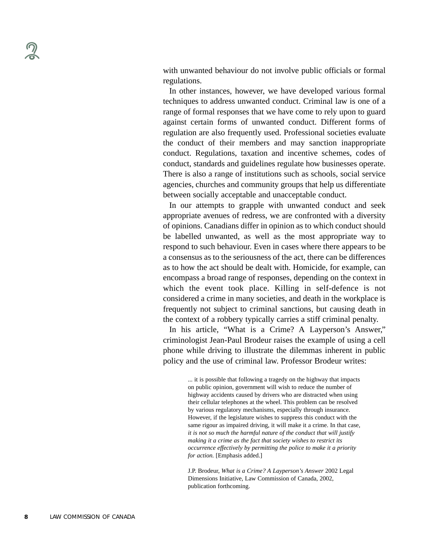with unwanted behaviour do not involve public officials or formal regulations.

In other instances, however, we have developed various formal techniques to address unwanted conduct. Criminal law is one of a range of formal responses that we have come to rely upon to guard against certain forms of unwanted conduct. Different forms of regulation are also frequently used. Professional societies evaluate the conduct of their members and may sanction inappropriate conduct. Regulations, taxation and incentive schemes, codes of conduct, standards and guidelines regulate how businesses operate. There is also a range of institutions such as schools, social service agencies, churches and community groups that help us differentiate between socially acceptable and unacceptable conduct.

In our attempts to grapple with unwanted conduct and seek appropriate avenues of redress, we are confronted with a diversity of opinions. Canadians differ in opinion as to which conduct should be labelled unwanted, as well as the most appropriate way to respond to such behaviour. Even in cases where there appears to be a consensus as to the seriousness of the act, there can be differences as to how the act should be dealt with. Homicide, for example, can encompass a broad range of responses, depending on the context in which the event took place. Killing in self-defence is not considered a crime in many societies, and death in the workplace is frequently not subject to criminal sanctions, but causing death in the context of a robbery typically carries a stiff criminal penalty.

In his article, "What is a Crime? A Layperson's Answer," criminologist Jean-Paul Brodeur raises the example of using a cell phone while driving to illustrate the dilemmas inherent in public policy and the use of criminal law. Professor Brodeur writes:

> ... it is possible that following a tragedy on the highway that impacts on public opinion, government will wish to reduce the number of highway accidents caused by drivers who are distracted when using their cellular telephones at the wheel. This problem can be resolved by various regulatory mechanisms, especially through insurance. However, if the legislature wishes to suppress this conduct with the same rigour as impaired driving, it will make it a crime. In that case, *it is not so much the harmful nature of the conduct that will justify making it a crime as the fact that society wishes to restrict its occurrence effectively by permitting the police to make it a priority for action.* [Emphasis added.]

J.P. Brodeur, *What is a Crime? A Layperson's Answer* 2002 Legal Dimensions Initiative, Law Commission of Canada, 2002, publication forthcoming.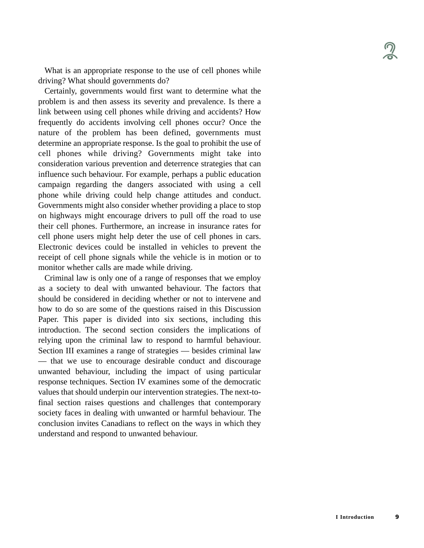What is an appropriate response to the use of cell phones while driving? What should governments do?

Certainly, governments would first want to determine what the problem is and then assess its severity and prevalence. Is there a link between using cell phones while driving and accidents? How frequently do accidents involving cell phones occur? Once the nature of the problem has been defined, governments must determine an appropriate response. Is the goal to prohibit the use of cell phones while driving? Governments might take into consideration various prevention and deterrence strategies that can influence such behaviour. For example, perhaps a public education campaign regarding the dangers associated with using a cell phone while driving could help change attitudes and conduct. Governments might also consider whether providing a place to stop on highways might encourage drivers to pull off the road to use their cell phones. Furthermore, an increase in insurance rates for cell phone users might help deter the use of cell phones in cars. Electronic devices could be installed in vehicles to prevent the receipt of cell phone signals while the vehicle is in motion or to monitor whether calls are made while driving.

Criminal law is only one of a range of responses that we employ as a society to deal with unwanted behaviour. The factors that should be considered in deciding whether or not to intervene and how to do so are some of the questions raised in this Discussion Paper. This paper is divided into six sections, including this introduction. The second section considers the implications of relying upon the criminal law to respond to harmful behaviour. Section III examines a range of strategies — besides criminal law — that we use to encourage desirable conduct and discourage unwanted behaviour, including the impact of using particular response techniques. Section IV examines some of the democratic values that should underpin our intervention strategies. The next-tofinal section raises questions and challenges that contemporary society faces in dealing with unwanted or harmful behaviour. The conclusion invites Canadians to reflect on the ways in which they understand and respond to unwanted behaviour.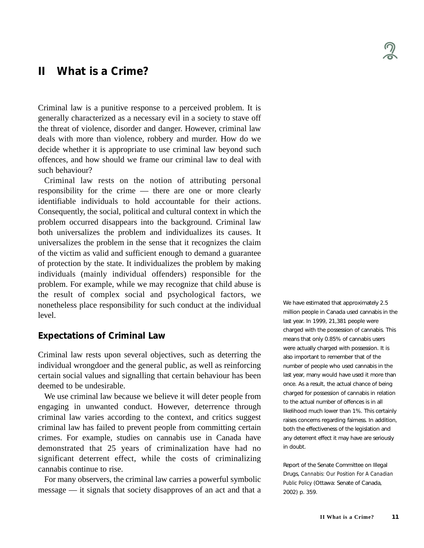# **II What is a Crime?**

Criminal law is a punitive response to a perceived problem. It is generally characterized as a necessary evil in a society to stave off the threat of violence, disorder and danger. However, criminal law deals with more than violence, robbery and murder. How do we decide whether it is appropriate to use criminal law beyond such offences, and how should we frame our criminal law to deal with such behaviour?

Criminal law rests on the notion of attributing personal responsibility for the crime — there are one or more clearly identifiable individuals to hold accountable for their actions. Consequently, the social, political and cultural context in which the problem occurred disappears into the background. Criminal law both universalizes the problem and individualizes its causes. It universalizes the problem in the sense that it recognizes the claim of the victim as valid and sufficient enough to demand a guarantee of protection by the state. It individualizes the problem by making individuals (mainly individual offenders) responsible for the problem. For example, while we may recognize that child abuse is the result of complex social and psychological factors, we nonetheless place responsibility for such conduct at the individual level.

#### **Expectations of Criminal Law**

Criminal law rests upon several objectives, such as deterring the individual wrongdoer and the general public, as well as reinforcing certain social values and signalling that certain behaviour has been deemed to be undesirable.

We use criminal law because we believe it will deter people from engaging in unwanted conduct. However, deterrence through criminal law varies according to the context, and critics suggest criminal law has failed to prevent people from committing certain crimes. For example, studies on cannabis use in Canada have demonstrated that 25 years of criminalization have had no significant deterrent effect, while the costs of criminalizing cannabis continue to rise.

For many observers, the criminal law carries a powerful symbolic message — it signals that society disapproves of an act and that a We have estimated that approximately 2.5 million people in Canada used cannabis in the last year. In 1999, 21,381 people were charged with the possession of cannabis. This means that only 0.85% of cannabis users were actually charged with possession. It is also important to remember that of the number of people who used cannabis in the last year, many would have used it more than once. As a result, the actual chance of being charged for possession of cannabis in relation to the actual number of offences is in all likelihood much lower than 1%. This certainly raises concerns regarding fairness. In addition, both the effectiveness of the legislation and any deterrent effect it may have are seriously in doubt.

Report of the Senate Committee on Illegal Drugs, *Cannabis: Our Position For A Canadian Public Policy* (Ottawa: Senate of Canada, 2002) p. 359.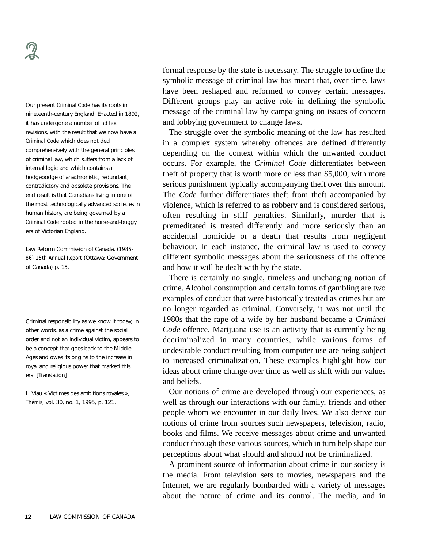Our present *Criminal Code* has its roots in nineteenth-century England. Enacted in 1892, it has undergone a number of *ad hoc* revisions, with the result that we now have a *Criminal Code* which does not deal comprehensively with the general principles of criminal law, which suffers from a lack of internal logic and which contains a hodgepodge of anachronistic, redundant, contradictory and obsolete provisions. The end result is that Canadians living in one of the most technologically advanced societies in human history, are being governed by a *Criminal Code* rooted in the horse-and-buggy era of Victorian England.

Law Reform Commission of Canada, *(1985- 86) 15th Annual Report* (Ottawa: Government of Canada) p. 15.

Criminal responsibility as we know it today, in other words, as a crime against the social order and not an individual victim, appears to be a concept that goes back to the Middle Ages and owes its origins to the increase in royal and religious power that marked this era. [Translation]

L. Viau « Victimes des ambitions royales », *Thémis*, vol. 30, no. 1, 1995, p. 121.

formal response by the state is necessary. The struggle to define the symbolic message of criminal law has meant that, over time, laws have been reshaped and reformed to convey certain messages. Different groups play an active role in defining the symbolic message of the criminal law by campaigning on issues of concern and lobbying government to change laws.

The struggle over the symbolic meaning of the law has resulted in a complex system whereby offences are defined differently depending on the context within which the unwanted conduct occurs. For example, the *Criminal Code* differentiates between theft of property that is worth more or less than \$5,000, with more serious punishment typically accompanying theft over this amount. The *Code* further differentiates theft from theft accompanied by violence, which is referred to as robbery and is considered serious, often resulting in stiff penalties. Similarly, murder that is premeditated is treated differently and more seriously than an accidental homicide or a death that results from negligent behaviour. In each instance, the criminal law is used to convey different symbolic messages about the seriousness of the offence and how it will be dealt with by the state.

There is certainly no single, timeless and unchanging notion of crime. Alcohol consumption and certain forms of gambling are two examples of conduct that were historically treated as crimes but are no longer regarded as criminal. Conversely, it was not until the 1980s that the rape of a wife by her husband became a *Criminal Code* offence. Marijuana use is an activity that is currently being decriminalized in many countries, while various forms of undesirable conduct resulting from computer use are being subject to increased criminalization. These examples highlight how our ideas about crime change over time as well as shift with our values and beliefs.

Our notions of crime are developed through our experiences, as well as through our interactions with our family, friends and other people whom we encounter in our daily lives. We also derive our notions of crime from sources such newspapers, television, radio, books and films. We receive messages about crime and unwanted conduct through these various sources, which in turn help shape our perceptions about what should and should not be criminalized.

A prominent source of information about crime in our society is the media. From television sets to movies, newspapers and the Internet, we are regularly bombarded with a variety of messages about the nature of crime and its control. The media, and in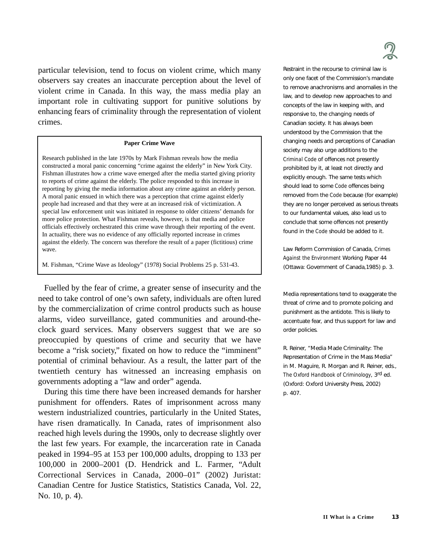particular television, tend to focus on violent crime, which many observers say creates an inaccurate perception about the level of violent crime in Canada. In this way, the mass media play an important role in cultivating support for punitive solutions by enhancing fears of criminality through the representation of violent crimes.

#### **Paper Crime Wave**

Research published in the late 1970s by Mark Fishman reveals how the media constructed a moral panic concerning "crime against the elderly" in New York City. Fishman illustrates how a crime wave emerged after the media started giving priority to reports of crime against the elderly. The police responded to this increase in reporting by giving the media information about any crime against an elderly person. A moral panic ensued in which there was a perception that crime against elderly people had increased and that they were at an increased risk of victimization. A special law enforcement unit was initiated in response to older citizens' demands for more police protection. What Fishman reveals, however, is that media and police officials effectively orchestrated this crime wave through their reporting of the event. In actuality, there was no evidence of any officially reported increase in crimes against the elderly. The concern was therefore the result of a paper (fictitious) crime wave.

M. Fishman, "Crime Wave as Ideology" (1978) Social Problems 25 p. 531-43.

Fuelled by the fear of crime, a greater sense of insecurity and the need to take control of one's own safety, individuals are often lured by the commercialization of crime control products such as house alarms, video surveillance, gated communities and around-theclock guard services. Many observers suggest that we are so preoccupied by questions of crime and security that we have become a "risk society," fixated on how to reduce the "imminent" potential of criminal behaviour. As a result, the latter part of the twentieth century has witnessed an increasing emphasis on governments adopting a "law and order" agenda.

During this time there have been increased demands for harsher punishment for offenders. Rates of imprisonment across many western industrialized countries, particularly in the United States, have risen dramatically. In Canada, rates of imprisonment also reached high levels during the 1990s, only to decrease slightly over the last few years. For example, the incarceration rate in Canada peaked in 1994–95 at 153 per 100,000 adults, dropping to 133 per 100,000 in 2000–2001 (D. Hendrick and L. Farmer, "Adult Correctional Services in Canada, 2000–01" (2002) Juristat: Canadian Centre for Justice Statistics, Statistics Canada, Vol. 22, No. 10, p. 4).



Restraint in the recourse to criminal law is only one facet of the Commission's mandate to remove anachronisms and anomalies in the law, and to develop new approaches to and concepts of the law in keeping with, and responsive to, the changing needs of Canadian society. It has always been understood by the Commission that the changing needs and perceptions of Canadian society may also urge additions to the *Criminal Code* of offences not presently prohibited by it, at least not directly and explicitly enough. The same tests which should lead to some *Code* offences being removed from the *Code* because (for example) they are no longer perceived as serious threats to our fundamental values, also lead us to conclude that some offences not presently found in the *Code* should be added to it.

Law Reform Commission of Canada, *Crimes Against the Environment* Working Paper 44 (Ottawa: Government of Canada,1985) p. 3.

Media representations tend to exaggerate the threat of crime and to promote policing and punishment as the antidote. This is likely to accentuate fear, and thus support for law and order policies.

R. Reiner, "Media Made Criminality: The Representation of Crime in the Mass Media" in M. Maguire, R. Morgan and R. Reiner, eds., *The Oxford Handbook of Criminology*, 3rd ed. (Oxford: Oxford University Press, 2002) p. 407.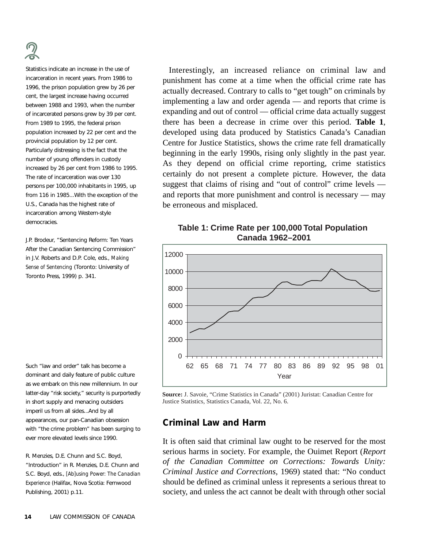Statistics indicate an increase in the use of incarceration in recent years. From 1986 to 1996, the prison population grew by 26 per cent, the largest increase having occurred between 1988 and 1993, when the number of incarcerated persons grew by 39 per cent. From 1989 to 1995, the federal prison population increased by 22 per cent and the provincial population by 12 per cent. Particularly distressing is the fact that the number of young offenders in custody increased by 26 per cent from 1986 to 1995. The rate of incarceration was over 130 persons per 100,000 inhabitants in 1995, up from 116 in 1985...With the exception of the U.S., Canada has the highest rate of incarceration among Western-style democracies.

J.P. Brodeur, "Sentencing Reform: Ten Years After the Canadian Sentencing Commission" in J.V. Roberts and D.P. Cole, eds., *Making Sense of Sentencing* (Toronto: University of Toronto Press, 1999) p. 341.

Such "law and order" talk has become a dominant and daily feature of public culture as we embark on this new millennium. In our latter-day "risk society," security is purportedly in short supply and menacing outsiders imperil us from all sides...And by all appearances, our pan-Canadian obsession with "the crime problem" has been surging to ever more elevated levels since 1990.

R. Menzies, D.E. Chunn and S.C. Boyd, "Introduction" in R. Menzies, D.E. Chunn and S.C. Boyd, eds., *[Ab]using Power: The Canadian Experience* (Halifax, Nova Scotia: Fernwood Publishing, 2001) p.11.

Interestingly, an increased reliance on criminal law and punishment has come at a time when the official crime rate has actually decreased. Contrary to calls to "get tough" on criminals by implementing a law and order agenda — and reports that crime is expanding and out of control — official crime data actually suggest there has been a decrease in crime over this period. **Table 1**, developed using data produced by Statistics Canada's Canadian Centre for Justice Statistics, shows the crime rate fell dramatically beginning in the early 1990s, rising only slightly in the past year. As they depend on official crime reporting, crime statistics certainly do not present a complete picture. However, the data suggest that claims of rising and "out of control" crime levels and reports that more punishment and control is necessary — may be erroneous and misplaced.

# **Table 1: Crime Rate per 100,000 Total Population Canada 1962–2001**



**Source:** J. Savoie, "Crime Statistics in Canada" (2001) Juristat: Canadian Centre for Justice Statistics, Statistics Canada, Vol. 22, No. 6.

# **Criminal Law and Harm**

It is often said that criminal law ought to be reserved for the most serious harms in society. For example, the Ouimet Report (*Report of the Canadian Committee on Corrections: Towards Unity: Criminal Justice and Corrections,* 1969) stated that: "No conduct should be defined as criminal unless it represents a serious threat to society, and unless the act cannot be dealt with through other social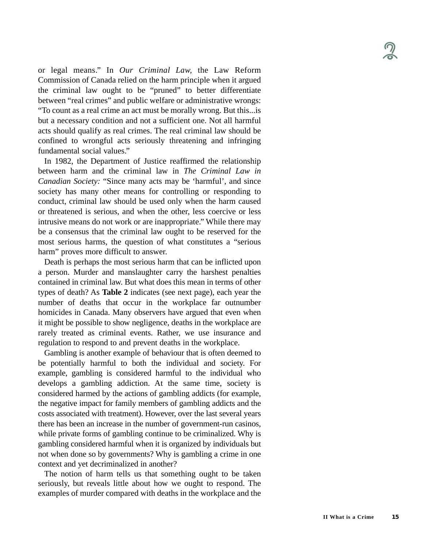or legal means." In *Our Criminal Law,* the Law Reform Commission of Canada relied on the harm principle when it argued the criminal law ought to be "pruned" to better differentiate between "real crimes" and public welfare or administrative wrongs: "To count as a real crime an act must be morally wrong. But this...is but a necessary condition and not a sufficient one. Not all harmful acts should qualify as real crimes. The real criminal law should be confined to wrongful acts seriously threatening and infringing fundamental social values."

In 1982, the Department of Justice reaffirmed the relationship between harm and the criminal law in *The Criminal Law in Canadian Society:* "Since many acts may be 'harmful', and since society has many other means for controlling or responding to conduct, criminal law should be used only when the harm caused or threatened is serious, and when the other, less coercive or less intrusive means do not work or are inappropriate." While there may be a consensus that the criminal law ought to be reserved for the most serious harms, the question of what constitutes a "serious harm" proves more difficult to answer.

Death is perhaps the most serious harm that can be inflicted upon a person. Murder and manslaughter carry the harshest penalties contained in criminal law. But what does this mean in terms of other types of death? As **Table 2** indicates (see next page), each year the number of deaths that occur in the workplace far outnumber homicides in Canada. Many observers have argued that even when it might be possible to show negligence, deaths in the workplace are rarely treated as criminal events. Rather, we use insurance and regulation to respond to and prevent deaths in the workplace.

Gambling is another example of behaviour that is often deemed to be potentially harmful to both the individual and society. For example, gambling is considered harmful to the individual who develops a gambling addiction. At the same time, society is considered harmed by the actions of gambling addicts (for example, the negative impact for family members of gambling addicts and the costs associated with treatment). However, over the last several years there has been an increase in the number of government-run casinos, while private forms of gambling continue to be criminalized. Why is gambling considered harmful when it is organized by individuals but not when done so by governments? Why is gambling a crime in one context and yet decriminalized in another?

The notion of harm tells us that something ought to be taken seriously, but reveals little about how we ought to respond. The examples of murder compared with deaths in the workplace and the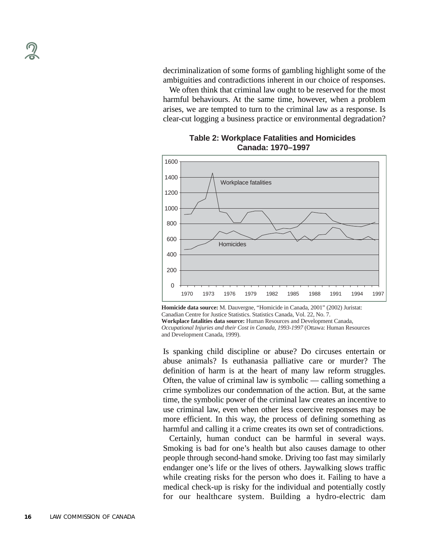decriminalization of some forms of gambling highlight some of the ambiguities and contradictions inherent in our choice of responses.

We often think that criminal law ought to be reserved for the most harmful behaviours. At the same time, however, when a problem arises, we are tempted to turn to the criminal law as a response. Is clear-cut logging a business practice or environmental degradation?



## **Table 2: Workplace Fatalities and Homicides Canada: 1970–1997**

**Homicide data source:** M. Dauvergne, "Homicide in Canada, 2001" (2002) Juristat: Canadian Centre for Justice Statistics. Statistics Canada, Vol. 22, No. 7.

**Workplace fatalities data source:** Human Resources and Development Canada, *Occupational Injuries and their Cost in Canada*, *1993-1997* (Ottawa: Human Resources and Development Canada, 1999).

Is spanking child discipline or abuse? Do circuses entertain or abuse animals? Is euthanasia palliative care or murder? The definition of harm is at the heart of many law reform struggles. Often, the value of criminal law is symbolic — calling something a crime symbolizes our condemnation of the action. But, at the same time, the symbolic power of the criminal law creates an incentive to use criminal law, even when other less coercive responses may be more efficient. In this way, the process of defining something as harmful and calling it a crime creates its own set of contradictions.

Certainly, human conduct can be harmful in several ways. Smoking is bad for one's health but also causes damage to other people through second-hand smoke. Driving too fast may similarly endanger one's life or the lives of others. Jaywalking slows traffic while creating risks for the person who does it. Failing to have a medical check-up is risky for the individual and potentially costly for our healthcare system. Building a hydro-electric dam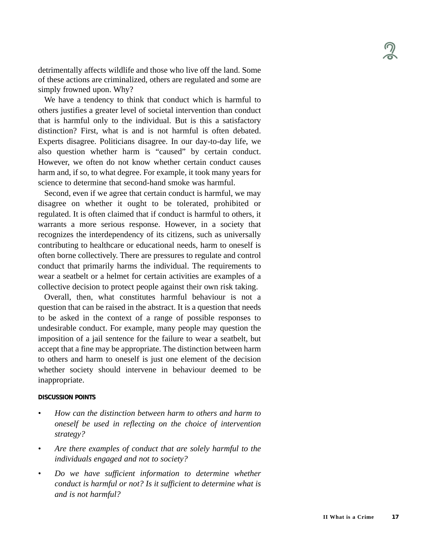detrimentally affects wildlife and those who live off the land. Some of these actions are criminalized, others are regulated and some are simply frowned upon. Why?

We have a tendency to think that conduct which is harmful to others justifies a greater level of societal intervention than conduct that is harmful only to the individual. But is this a satisfactory distinction? First, what is and is not harmful is often debated. Experts disagree. Politicians disagree. In our day-to-day life, we also question whether harm is "caused" by certain conduct. However, we often do not know whether certain conduct causes harm and, if so, to what degree. For example, it took many years for science to determine that second-hand smoke was harmful.

Second, even if we agree that certain conduct is harmful, we may disagree on whether it ought to be tolerated, prohibited or regulated. It is often claimed that if conduct is harmful to others, it warrants a more serious response. However, in a society that recognizes the interdependency of its citizens, such as universally contributing to healthcare or educational needs, harm to oneself is often borne collectively. There are pressures to regulate and control conduct that primarily harms the individual. The requirements to wear a seatbelt or a helmet for certain activities are examples of a collective decision to protect people against their own risk taking.

Overall, then, what constitutes harmful behaviour is not a question that can be raised in the abstract. It is a question that needs to be asked in the context of a range of possible responses to undesirable conduct. For example, many people may question the imposition of a jail sentence for the failure to wear a seatbelt, but accept that a fine may be appropriate. The distinction between harm to others and harm to oneself is just one element of the decision whether society should intervene in behaviour deemed to be inappropriate.

#### **DISCUSSION POINTS**

- *• How can the distinction between harm to others and harm to oneself be used in reflecting on the choice of intervention strategy?*
- *Are there examples of conduct that are solely harmful to the individuals engaged and not to society?*
- *Do we have sufficient information to determine whether conduct is harmful or not? Is it sufficient to determine what is and is not harmful?*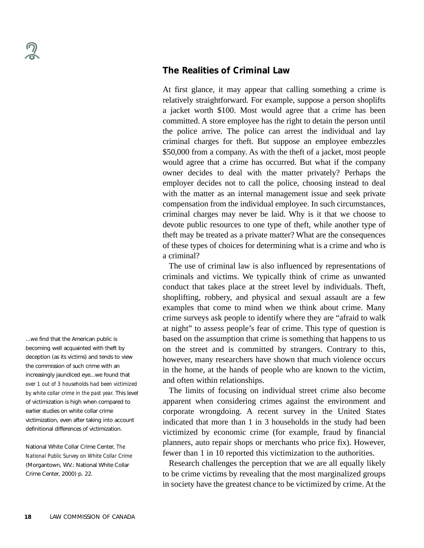### ...we find that the American public is becoming well acquainted with theft by deception (as its victims) and tends to view the commission of such crime with an increasingly jaundiced eye...we found that *over 1 out of 3 households had been victimized by white collar crime in the past year.* This level of victimization is high when compared to earlier studies on white collar crime victimization, even after taking into account definitional differences of victimization.

National White Collar Crime Center, *The National Public Survey on White Collar Crime* (Morgantown, WV.: National White Collar Crime Center, 2000) p. 22.

## **The Realities of Criminal Law**

At first glance, it may appear that calling something a crime is relatively straightforward. For example, suppose a person shoplifts a jacket worth \$100. Most would agree that a crime has been committed. A store employee has the right to detain the person until the police arrive. The police can arrest the individual and lay criminal charges for theft. But suppose an employee embezzles \$50,000 from a company. As with the theft of a jacket, most people would agree that a crime has occurred. But what if the company owner decides to deal with the matter privately? Perhaps the employer decides not to call the police, choosing instead to deal with the matter as an internal management issue and seek private compensation from the individual employee. In such circumstances, criminal charges may never be laid. Why is it that we choose to devote public resources to one type of theft, while another type of theft may be treated as a private matter? What are the consequences of these types of choices for determining what is a crime and who is a criminal?

The use of criminal law is also influenced by representations of criminals and victims. We typically think of crime as unwanted conduct that takes place at the street level by individuals. Theft, shoplifting, robbery, and physical and sexual assault are a few examples that come to mind when we think about crime. Many crime surveys ask people to identify where they are "afraid to walk at night" to assess people's fear of crime. This type of question is based on the assumption that crime is something that happens to us on the street and is committed by strangers. Contrary to this, however, many researchers have shown that much violence occurs in the home, at the hands of people who are known to the victim, and often within relationships.

The limits of focusing on individual street crime also become apparent when considering crimes against the environment and corporate wrongdoing. A recent survey in the United States indicated that more than 1 in 3 households in the study had been victimized by economic crime (for example, fraud by financial planners, auto repair shops or merchants who price fix). However, fewer than 1 in 10 reported this victimization to the authorities.

Research challenges the perception that we are all equally likely to be crime victims by revealing that the most marginalized groups in society have the greatest chance to be victimized by crime. At the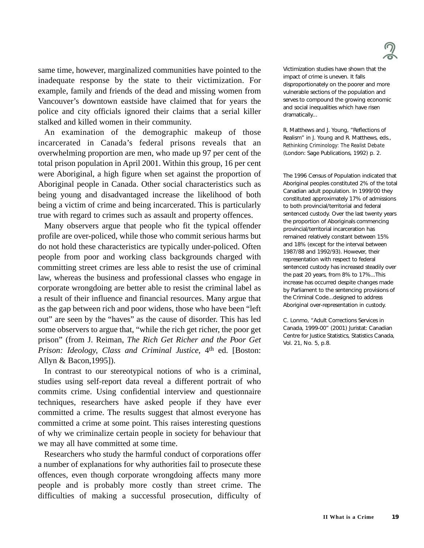

same time, however, marginalized communities have pointed to the inadequate response by the state to their victimization. For example, family and friends of the dead and missing women from Vancouver's downtown eastside have claimed that for years the police and city officials ignored their claims that a serial killer stalked and killed women in their community.

An examination of the demographic makeup of those incarcerated in Canada's federal prisons reveals that an overwhelming proportion are men, who made up 97 per cent of the total prison population in April 2001. Within this group, 16 per cent were Aboriginal, a high figure when set against the proportion of Aboriginal people in Canada. Other social characteristics such as being young and disadvantaged increase the likelihood of both being a victim of crime and being incarcerated. This is particularly true with regard to crimes such as assault and property offences.

Many observers argue that people who fit the typical offender profile are over-policed, while those who commit serious harms but do not hold these characteristics are typically under-policed. Often people from poor and working class backgrounds charged with committing street crimes are less able to resist the use of criminal law, whereas the business and professional classes who engage in corporate wrongdoing are better able to resist the criminal label as a result of their influence and financial resources. Many argue that as the gap between rich and poor widens, those who have been "left out" are seen by the "haves" as the cause of disorder. This has led some observers to argue that, "while the rich get richer, the poor get prison" (from J. Reiman, *The Rich Get Richer and the Poor Get Prison: Ideology, Class and Criminal Justice,* 4th ed. [Boston: Allyn & Bacon,1995]).

In contrast to our stereotypical notions of who is a criminal, studies using self-report data reveal a different portrait of who commits crime. Using confidential interview and questionnaire techniques, researchers have asked people if they have ever committed a crime. The results suggest that almost everyone has committed a crime at some point. This raises interesting questions of why we criminalize certain people in society for behaviour that we may all have committed at some time.

Researchers who study the harmful conduct of corporations offer a number of explanations for why authorities fail to prosecute these offences, even though corporate wrongdoing affects many more people and is probably more costly than street crime. The difficulties of making a successful prosecution, difficulty of Victimization studies have shown that the impact of crime is uneven. It falls disproportionately on the poorer and more vulnerable sections of the population and serves to compound the growing economic and social inequalities which have risen dramatically...

R. Matthews and J. Young, "Reflections of Realism" in J. Young and R. Matthews, eds., *Rethinking Criminology: The Realist Debate* (London: Sage Publications, 1992) p. 2.

The 1996 Census of Population indicated that Aboriginal peoples constituted 2% of the total Canadian adult population. In 1999/00 they constituted approximately 17% of admissions to both provincial/territorial and federal sentenced custody. Over the last twenty years the proportion of Aboriginals commencing provincial/territorial incarceration has remained relatively constant between 15% and 18% (except for the interval between 1987/88 and 1992/93). However, their representation with respect to federal sentenced custody has increased steadily over the past 20 years, from 8% to 17%...This increase has occurred despite changes made by Parliament to the sentencing provisions of the Criminal Code...designed to address Aboriginal over-representation in custody.

C. Lonmo, "Adult Corrections Services in Canada, 1999-00" (2001) Juristat: Canadian Centre for Justice Statistics, Statistics Canada, Vol. 21, No. 5, p.8.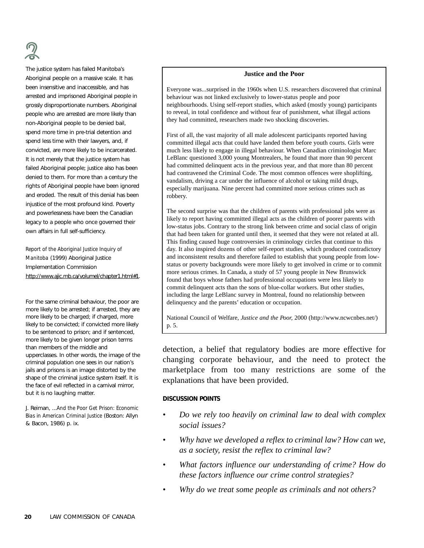The justice system has failed Manitoba's Aboriginal people on a massive scale. It has been insensitive and inaccessible, and has arrested and imprisoned Aboriginal people in grossly disproportionate numbers. Aboriginal people who are arrested are more likely than non-Aboriginal people to be denied bail, spend more time in pre-trial detention and spend less time with their lawyers, and, if convicted, are more likely to be incarcerated. It is not merely that the justice system has failed Aboriginal people; justice also has been denied to them. For more than a century the rights of Aboriginal people have been ignored and eroded. The result of this denial has been injustice of the most profound kind. Poverty and powerlessness have been the Canadian legacy to a people who once governed their own affairs in full self-sufficiency.

*Report of the Aboriginal Justice Inquiry of Manitoba* (1999) Aboriginal Justice Implementation Commission http://www.ajic.mb.ca/volumel/chapter1.html#1.

For the same criminal behaviour, the poor are more likely to be arrested; if arrested, they are more likely to be charged; if charged, more likely to be convicted; if convicted more likely to be sentenced to prison; and if sentenced, more likely to be given longer prison terms than members of the middle and upperclasses. In other words, the image of the criminal population one sees in our nation's jails and prisons is an image distorted by the shape of the criminal justice system itself. It is the face of evil reflected in a carnival mirror, but it is no laughing matter.

J. Reiman, ...*And the Poor Get Prison: Economic Bias in American Criminal Justice* (Boston: Allyn & Bacon, 1986) p. ix.

#### **Justice and the Poor**

Everyone was...surprised in the 1960s when U.S. researchers discovered that criminal behaviour was not linked exclusively to lower-status people and poor neighbourhoods. Using self-report studies, which asked (mostly young) participants to reveal, in total confidence and without fear of punishment, what illegal actions they had committed, researchers made two shocking discoveries.

First of all, the vast majority of all male adolescent participants reported having committed illegal acts that could have landed them before youth courts. Girls were much less likely to engage in illegal behaviour. When Canadian criminologist Marc LeBlanc questioned 3,000 young Montrealers, he found that more than 90 percent had committed delinquent acts in the previous year, and that more than 80 percent had contravened the Criminal Code. The most common offences were shoplifting, vandalism, driving a car under the influence of alcohol or taking mild drugs, especially marijuana. Nine percent had committed more serious crimes such as robbery.

The second surprise was that the children of parents with professional jobs were as likely to report having committed illegal acts as the children of poorer parents with low-status jobs. Contrary to the strong link between crime and social class of origin that had been taken for granted until then, it seemed that they were not related at all. This finding caused huge controversies in criminology circles that continue to this day. It also inspired dozens of other self-report studies, which produced contradictory and inconsistent results and therefore failed to establish that young people from lowstatus or poverty backgrounds were more likely to get involved in crime or to commit more serious crimes. In Canada, a study of 57 young people in New Brunswick found that boys whose fathers had professional occupations were less likely to commit delinquent acts than the sons of blue-collar workers. But other studies, including the large LeBlanc survey in Montreal, found no relationship between delinquency and the parents' education or occupation.

National Council of Welfare, *Justice and the Poor,* 2000 (http://www.ncwcnbes.net/) p. 5.

detection, a belief that regulatory bodies are more effective for changing corporate behaviour, and the need to protect the marketplace from too many restrictions are some of the explanations that have been provided.

#### **DISCUSSION POINTS**

- *Do we rely too heavily on criminal law to deal with complex social issues?*
- *• Why have we developed a reflex to criminal law? How can we, as a society, resist the reflex to criminal law?*
- *• What factors influence our understanding of crime? How do these factors influence our crime control strategies?*
- *• Why do we treat some people as criminals and not others?*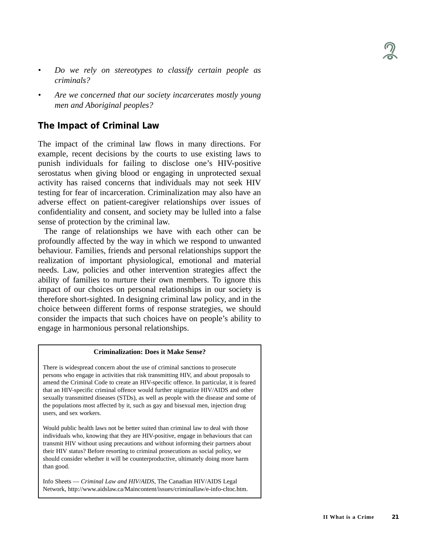- *Do we rely on stereotypes to classify certain people as criminals?*
- *Are we concerned that our society incarcerates mostly young men and Aboriginal peoples?*

# **The Impact of Criminal Law**

The impact of the criminal law flows in many directions. For example, recent decisions by the courts to use existing laws to punish individuals for failing to disclose one's HIV-positive serostatus when giving blood or engaging in unprotected sexual activity has raised concerns that individuals may not seek HIV testing for fear of incarceration. Criminalization may also have an adverse effect on patient-caregiver relationships over issues of confidentiality and consent, and society may be lulled into a false sense of protection by the criminal law.

The range of relationships we have with each other can be profoundly affected by the way in which we respond to unwanted behaviour. Families, friends and personal relationships support the realization of important physiological, emotional and material needs. Law, policies and other intervention strategies affect the ability of families to nurture their own members. To ignore this impact of our choices on personal relationships in our society is therefore short-sighted. In designing criminal law policy, and in the choice between different forms of response strategies, we should consider the impacts that such choices have on people's ability to engage in harmonious personal relationships.

#### **Criminalization: Does it Make Sense?**

There is widespread concern about the use of criminal sanctions to prosecute persons who engage in activities that risk transmitting HIV, and about proposals to amend the Criminal Code to create an HIV-specific offence. In particular, it is feared that an HIV-specific criminal offence would further stigmatize HIV/AIDS and other sexually transmitted diseases (STDs), as well as people with the disease and some of the populations most affected by it, such as gay and bisexual men, injection drug users, and sex workers.

Would public health laws not be better suited than criminal law to deal with those individuals who, knowing that they are HIV-positive, engage in behaviours that can transmit HIV without using precautions and without informing their partners about their HIV status? Before resorting to criminal prosecutions as social policy, we should consider whether it will be counterproductive, ultimately doing more harm than good.

Info Sheets — *Criminal Law and HIV/AIDS*, The Canadian HIV/AIDS Legal Network, http://www.aidslaw.ca/Maincontent/issues/criminallaw/e-info-cltoc.htm.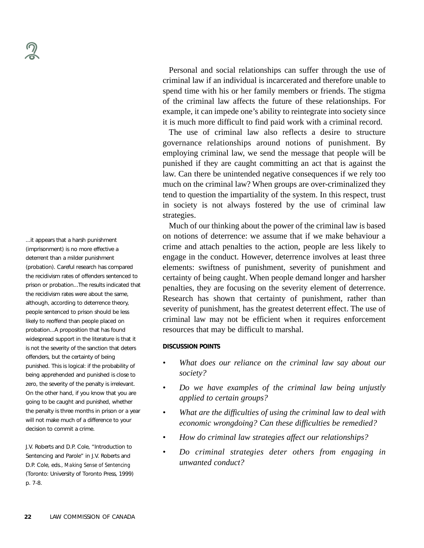...it appears that a harsh punishment (imprisonment) is no more effective a deterrent than a milder punishment (probation). Careful research has compared the recidivism rates of offenders sentenced to prison or probation...The results indicated that the recidivism rates were about the same, although, according to deterrence theory, people sentenced to prison should be less likely to reoffend than people placed on probation...A proposition that has found widespread support in the literature is that it is not the severity of the sanction that deters offenders, but the certainty of being punished. This is logical: if the probability of being apprehended and punished is close to zero, the severity of the penalty is irrelevant. On the other hand, if you know that you are going to be caught and punished, whether the penalty is three months in prison or a year will not make much of a difference to your decision to commit a crime.

J.V. Roberts and D.P. Cole, "Introduction to Sentencing and Parole" in J.V. Roberts and D.P. Cole, eds., *Making Sense of Sentencing* (Toronto: University of Toronto Press, 1999) p. 7-8.

Personal and social relationships can suffer through the use of criminal law if an individual is incarcerated and therefore unable to spend time with his or her family members or friends. The stigma of the criminal law affects the future of these relationships. For example, it can impede one's ability to reintegrate into society since it is much more difficult to find paid work with a criminal record.

The use of criminal law also reflects a desire to structure governance relationships around notions of punishment. By employing criminal law, we send the message that people will be punished if they are caught committing an act that is against the law. Can there be unintended negative consequences if we rely too much on the criminal law? When groups are over-criminalized they tend to question the impartiality of the system. In this respect, trust in society is not always fostered by the use of criminal law strategies.

Much of our thinking about the power of the criminal law is based on notions of deterrence: we assume that if we make behaviour a crime and attach penalties to the action, people are less likely to engage in the conduct. However, deterrence involves at least three elements: swiftness of punishment, severity of punishment and certainty of being caught. When people demand longer and harsher penalties, they are focusing on the severity element of deterrence. Research has shown that certainty of punishment, rather than severity of punishment, has the greatest deterrent effect. The use of criminal law may not be efficient when it requires enforcement resources that may be difficult to marshal.

#### **DISCUSSION POINTS**

- *What does our reliance on the criminal law say about our society?*
- *• Do we have examples of the criminal law being unjustly applied to certain groups?*
- *• What are the difficulties of using the criminal law to deal with economic wrongdoing? Can these difficulties be remedied?*
- *How do criminal law strategies affect our relationships?*
- *• Do criminal strategies deter others from engaging in unwanted conduct?*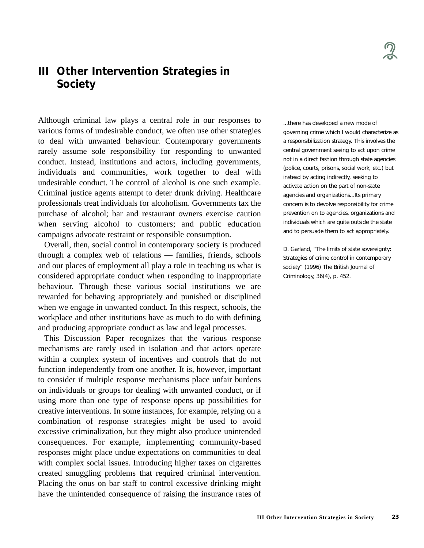# **III Other Intervention Strategies in Society**

Although criminal law plays a central role in our responses to various forms of undesirable conduct, we often use other strategies to deal with unwanted behaviour. Contemporary governments rarely assume sole responsibility for responding to unwanted conduct. Instead, institutions and actors, including governments, individuals and communities, work together to deal with undesirable conduct. The control of alcohol is one such example. Criminal justice agents attempt to deter drunk driving. Healthcare professionals treat individuals for alcoholism. Governments tax the purchase of alcohol; bar and restaurant owners exercise caution when serving alcohol to customers; and public education campaigns advocate restraint or responsible consumption.

Overall, then, social control in contemporary society is produced through a complex web of relations — families, friends, schools and our places of employment all play a role in teaching us what is considered appropriate conduct when responding to inappropriate behaviour. Through these various social institutions we are rewarded for behaving appropriately and punished or disciplined when we engage in unwanted conduct. In this respect, schools, the workplace and other institutions have as much to do with defining and producing appropriate conduct as law and legal processes.

This Discussion Paper recognizes that the various response mechanisms are rarely used in isolation and that actors operate within a complex system of incentives and controls that do not function independently from one another. It is, however, important to consider if multiple response mechanisms place unfair burdens on individuals or groups for dealing with unwanted conduct, or if using more than one type of response opens up possibilities for creative interventions. In some instances, for example, relying on a combination of response strategies might be used to avoid excessive criminalization, but they might also produce unintended consequences. For example, implementing community-based responses might place undue expectations on communities to deal with complex social issues. Introducing higher taxes on cigarettes created smuggling problems that required criminal intervention. Placing the onus on bar staff to control excessive drinking might have the unintended consequence of raising the insurance rates of ...there has developed a new mode of governing crime which I would characterize as a responsibilization strategy. This involves the central government seeing to act upon crime not in a direct fashion through state agencies (police, courts, prisons, social work, etc.) but instead by acting indirectly, seeking to activate action on the part of non-state agencies and organizations...Its primary concern is to devolve responsibility for crime prevention on to agencies, organizations and individuals which are quite outside the state and to persuade them to act appropriately.

D. Garland, "The limits of state sovereignty: Strategies of crime control in contemporary society" (1996) The British Journal of Criminology, 36(4), p. 452.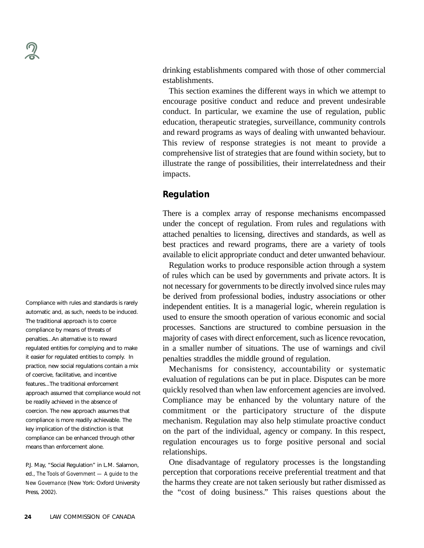Compliance with rules and standards is rarely automatic and, as such, needs to be induced. The traditional approach is to coerce compliance by means of threats of penalties...An alternative is to reward regulated entities for complying and to make it easier for regulated entities to comply. In practice, new social regulations contain a mix of coercive, facilitative, and incentive features...The traditional enforcement approach assumed that compliance would not be readily achieved in the absence of coercion. The new approach assumes that compliance is more readily achievable. The key implication of the distinction is that compliance can be enhanced through other means than enforcement alone.

P.J. May, "Social Regulation" in L.M. Salamon, ed., *The Tools of Government — A guide to the New Governance* (New York: Oxford University Press, 2002).

drinking establishments compared with those of other commercial establishments.

This section examines the different ways in which we attempt to encourage positive conduct and reduce and prevent undesirable conduct. In particular, we examine the use of regulation, public education, therapeutic strategies, surveillance, community controls and reward programs as ways of dealing with unwanted behaviour. This review of response strategies is not meant to provide a comprehensive list of strategies that are found within society, but to illustrate the range of possibilities, their interrelatedness and their impacts.

## **Regulation**

There is a complex array of response mechanisms encompassed under the concept of regulation. From rules and regulations with attached penalties to licensing, directives and standards, as well as best practices and reward programs, there are a variety of tools available to elicit appropriate conduct and deter unwanted behaviour.

Regulation works to produce responsible action through a system of rules which can be used by governments and private actors. It is not necessary for governments to be directly involved since rules may be derived from professional bodies, industry associations or other independent entities. It is a managerial logic, wherein regulation is used to ensure the smooth operation of various economic and social processes. Sanctions are structured to combine persuasion in the majority of cases with direct enforcement, such as licence revocation, in a smaller number of situations. The use of warnings and civil penalties straddles the middle ground of regulation.

Mechanisms for consistency, accountability or systematic evaluation of regulations can be put in place. Disputes can be more quickly resolved than when law enforcement agencies are involved. Compliance may be enhanced by the voluntary nature of the commitment or the participatory structure of the dispute mechanism. Regulation may also help stimulate proactive conduct on the part of the individual, agency or company. In this respect, regulation encourages us to forge positive personal and social relationships.

One disadvantage of regulatory processes is the longstanding perception that corporations receive preferential treatment and that the harms they create are not taken seriously but rather dismissed as the "cost of doing business." This raises questions about the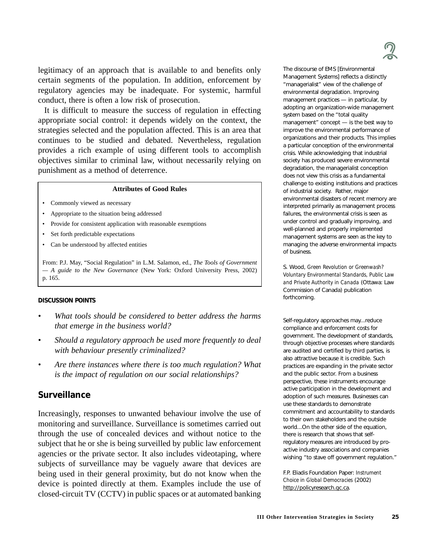legitimacy of an approach that is available to and benefits only certain segments of the population. In addition, enforcement by regulatory agencies may be inadequate. For systemic, harmful conduct, there is often a low risk of prosecution.

It is difficult to measure the success of regulation in effecting appropriate social control: it depends widely on the context, the strategies selected and the population affected. This is an area that continues to be studied and debated. Nevertheless, regulation provides a rich example of using different tools to accomplish objectives similar to criminal law, without necessarily relying on punishment as a method of deterrence.

#### **Attributes of Good Rules**

- Commonly viewed as necessary
- Appropriate to the situation being addressed
- Provide for consistent application with reasonable exemptions
- Set forth predictable expectations
- Can be understood by affected entities

From: P.J. May, "Social Regulation" in L.M. Salamon, ed., *The Tools of Government — A guide to the New Governance* (New York: Oxford University Press, 2002) p. 165.

#### **DISCUSSION POINTS**

- *What tools should be considered to better address the harms that emerge in the business world?*
- *• Should a regulatory approach be used more frequently to deal with behaviour presently criminalized?*
- *Are there instances where there is too much regulation? What is the impact of regulation on our social relationships?*

## **Surveillance**

Increasingly, responses to unwanted behaviour involve the use of monitoring and surveillance. Surveillance is sometimes carried out through the use of concealed devices and without notice to the subject that he or she is being surveilled by public law enforcement agencies or the private sector. It also includes videotaping, where subjects of surveillance may be vaguely aware that devices are being used in their general proximity, but do not know when the device is pointed directly at them. Examples include the use of closed-circuit TV (CCTV) in public spaces or at automated banking

The discourse of EMS [Environmental Management Systems] reflects a distinctly "managerialist" view of the challenge of environmental degradation. Improving management practices — in particular, by adopting an organization-wide management system based on the "total quality management" concept — is the best way to improve the environmental performance of organizations and their products. This implies a particular conception of the environmental crisis. While acknowledging that industrial society has produced severe environmental degradation, the managerialist conception does not view this crisis as a fundamental challenge to existing institutions and practices of industrial society. Rather, major environmental disasters of recent memory are interpreted primarily as management process failures, the environmental crisis is seen as under control and gradually improving, and well-planned and properly implemented management systems are seen as the key to managing the adverse environmental impacts of business.

S. Wood, *Green Revolution or Greenwash? Voluntary Environmental Standards, Public Law and Private Authority in Canada* (Ottawa: Law Commission of Canada) publication forthcoming.

Self-regulatory approaches may...reduce compliance and enforcement costs for government. The development of standards, through objective processes where standards are audited and certified by third parties, is also attractive because it is credible. Such practices are expanding in the private sector and the public sector. From a business perspective, these instruments encourage active participation in the development and adoption of such measures. Businesses can use these standards to demonstrate commitment and accountability to standards to their own stakeholders and the outside world...On the other side of the equation, there is research that shows that selfregulatory measures are introduced by proactive industry associations and companies wishing "to stave off government regulation."

F.P. Eliadis Foundation Paper: *Instrument Choice in Global Democracies* (2002) http://policyresearch.gc.ca.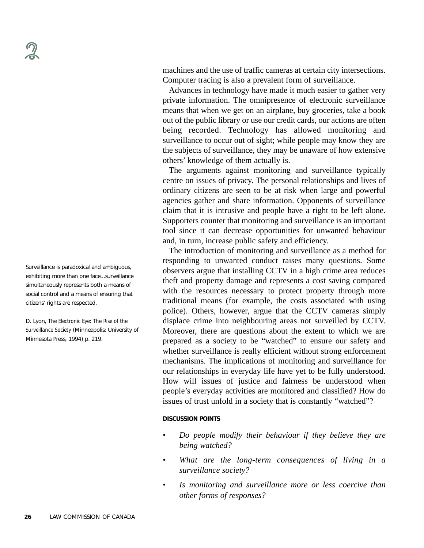Surveillance is paradoxical and ambiguous, exhibiting more than one face...surveillance simultaneously represents both a means of social control and a means of ensuring that citizens' rights are respected.

D. Lyon, *The Electronic Eye: The Rise of the Surveillance Society* (Minneapolis: University of Minnesota Press, 1994) p. 219.

machines and the use of traffic cameras at certain city intersections. Computer tracing is also a prevalent form of surveillance.

Advances in technology have made it much easier to gather very private information. The omnipresence of electronic surveillance means that when we get on an airplane, buy groceries, take a book out of the public library or use our credit cards, our actions are often being recorded. Technology has allowed monitoring and surveillance to occur out of sight; while people may know they are the subjects of surveillance, they may be unaware of how extensive others' knowledge of them actually is.

The arguments against monitoring and surveillance typically centre on issues of privacy. The personal relationships and lives of ordinary citizens are seen to be at risk when large and powerful agencies gather and share information. Opponents of surveillance claim that it is intrusive and people have a right to be left alone. Supporters counter that monitoring and surveillance is an important tool since it can decrease opportunities for unwanted behaviour and, in turn, increase public safety and efficiency.

The introduction of monitoring and surveillance as a method for responding to unwanted conduct raises many questions. Some observers argue that installing CCTV in a high crime area reduces theft and property damage and represents a cost saving compared with the resources necessary to protect property through more traditional means (for example, the costs associated with using police). Others, however, argue that the CCTV cameras simply displace crime into neighbouring areas not surveilled by CCTV. Moreover, there are questions about the extent to which we are prepared as a society to be "watched" to ensure our safety and whether surveillance is really efficient without strong enforcement mechanisms. The implications of monitoring and surveillance for our relationships in everyday life have yet to be fully understood. How will issues of justice and fairness be understood when people's everyday activities are monitored and classified? How do issues of trust unfold in a society that is constantly "watched"?

#### **DISCUSSION POINTS**

- *• Do people modify their behaviour if they believe they are being watched?*
- *• What are the long-term consequences of living in a surveillance society?*
- *• Is monitoring and surveillance more or less coercive than other forms of responses?*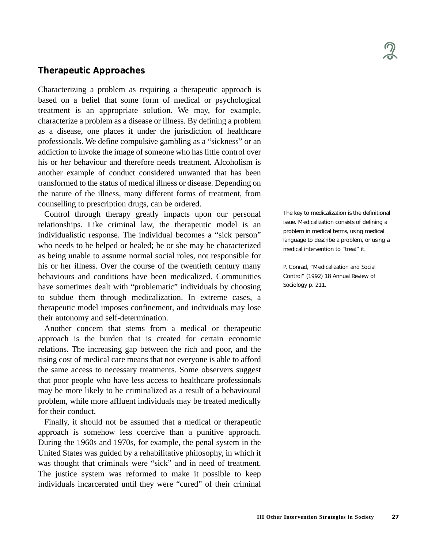# **Therapeutic Approaches**

Characterizing a problem as requiring a therapeutic approach is based on a belief that some form of medical or psychological treatment is an appropriate solution. We may, for example, characterize a problem as a disease or illness. By defining a problem as a disease, one places it under the jurisdiction of healthcare professionals. We define compulsive gambling as a "sickness" or an addiction to invoke the image of someone who has little control over his or her behaviour and therefore needs treatment. Alcoholism is another example of conduct considered unwanted that has been transformed to the status of medical illness or disease. Depending on the nature of the illness, many different forms of treatment, from counselling to prescription drugs, can be ordered.

Control through therapy greatly impacts upon our personal relationships. Like criminal law, the therapeutic model is an individualistic response. The individual becomes a "sick person" who needs to be helped or healed; he or she may be characterized as being unable to assume normal social roles, not responsible for his or her illness. Over the course of the twentieth century many behaviours and conditions have been medicalized. Communities have sometimes dealt with "problematic" individuals by choosing to subdue them through medicalization. In extreme cases, a therapeutic model imposes confinement, and individuals may lose their autonomy and self-determination.

Another concern that stems from a medical or therapeutic approach is the burden that is created for certain economic relations. The increasing gap between the rich and poor, and the rising cost of medical care means that not everyone is able to afford the same access to necessary treatments. Some observers suggest that poor people who have less access to healthcare professionals may be more likely to be criminalized as a result of a behavioural problem, while more affluent individuals may be treated medically for their conduct.

Finally, it should not be assumed that a medical or therapeutic approach is somehow less coercive than a punitive approach. During the 1960s and 1970s, for example, the penal system in the United States was guided by a rehabilitative philosophy, in which it was thought that criminals were "sick" and in need of treatment. The justice system was reformed to make it possible to keep individuals incarcerated until they were "cured" of their criminal The key to medicalization is the definitional issue. Medicalization consists of defining a problem in medical terms, using medical language to describe a problem, or using a medical intervention to "treat" it.

P. Conrad, "Medicalization and Social Control" (1992) 18 Annual Review of Sociology p. 211.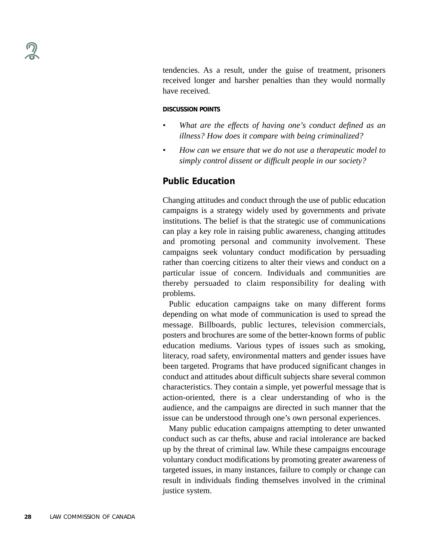tendencies. As a result, under the guise of treatment, prisoners received longer and harsher penalties than they would normally have received.

#### **DISCUSSION POINTS**

- *• What are the effects of having one's conduct defined as an illness? How does it compare with being criminalized?*
- *• How can we ensure that we do not use a therapeutic model to simply control dissent or difficult people in our society?*

### **Public Education**

Changing attitudes and conduct through the use of public education campaigns is a strategy widely used by governments and private institutions. The belief is that the strategic use of communications can play a key role in raising public awareness, changing attitudes and promoting personal and community involvement. These campaigns seek voluntary conduct modification by persuading rather than coercing citizens to alter their views and conduct on a particular issue of concern. Individuals and communities are thereby persuaded to claim responsibility for dealing with problems.

Public education campaigns take on many different forms depending on what mode of communication is used to spread the message. Billboards, public lectures, television commercials, posters and brochures are some of the better-known forms of public education mediums. Various types of issues such as smoking, literacy, road safety, environmental matters and gender issues have been targeted. Programs that have produced significant changes in conduct and attitudes about difficult subjects share several common characteristics. They contain a simple, yet powerful message that is action-oriented, there is a clear understanding of who is the audience, and the campaigns are directed in such manner that the issue can be understood through one's own personal experiences.

Many public education campaigns attempting to deter unwanted conduct such as car thefts, abuse and racial intolerance are backed up by the threat of criminal law. While these campaigns encourage voluntary conduct modifications by promoting greater awareness of targeted issues, in many instances, failure to comply or change can result in individuals finding themselves involved in the criminal justice system.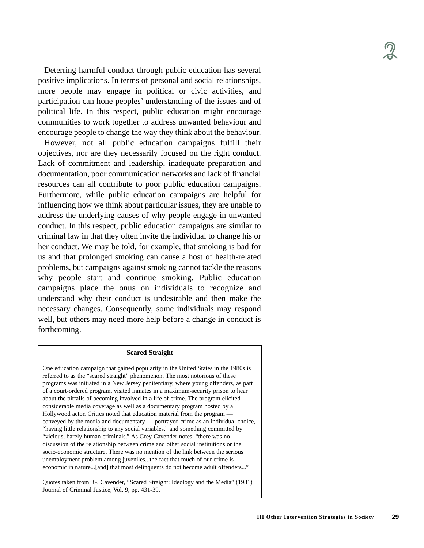Deterring harmful conduct through public education has several positive implications. In terms of personal and social relationships, more people may engage in political or civic activities, and participation can hone peoples' understanding of the issues and of political life. In this respect, public education might encourage communities to work together to address unwanted behaviour and encourage people to change the way they think about the behaviour.

However, not all public education campaigns fulfill their objectives, nor are they necessarily focused on the right conduct. Lack of commitment and leadership, inadequate preparation and documentation, poor communication networks and lack of financial resources can all contribute to poor public education campaigns. Furthermore, while public education campaigns are helpful for influencing how we think about particular issues, they are unable to address the underlying causes of why people engage in unwanted conduct. In this respect, public education campaigns are similar to criminal law in that they often invite the individual to change his or her conduct. We may be told, for example, that smoking is bad for us and that prolonged smoking can cause a host of health-related problems, but campaigns against smoking cannot tackle the reasons why people start and continue smoking. Public education campaigns place the onus on individuals to recognize and understand why their conduct is undesirable and then make the necessary changes. Consequently, some individuals may respond well, but others may need more help before a change in conduct is forthcoming.

#### **Scared Straight**

One education campaign that gained popularity in the United States in the 1980s is referred to as the "scared straight" phenomenon. The most notorious of these programs was initiated in a New Jersey penitentiary, where young offenders, as part of a court-ordered program, visited inmates in a maximum-security prison to hear about the pitfalls of becoming involved in a life of crime. The program elicited considerable media coverage as well as a documentary program hosted by a Hollywood actor. Critics noted that education material from the program conveyed by the media and documentary — portrayed crime as an individual choice, "having little relationship to any social variables," and something committed by "vicious, barely human criminals." As Grey Cavender notes, "there was no discussion of the relationship between crime and other social institutions or the socio-economic structure. There was no mention of the link between the serious unemployment problem among juveniles...the fact that much of our crime is economic in nature...[and] that most delinquents do not become adult offenders..."

Quotes taken from: G. Cavender, "Scared Straight: Ideology and the Media" (1981) Journal of Criminal Justice, Vol. 9, pp. 431-39.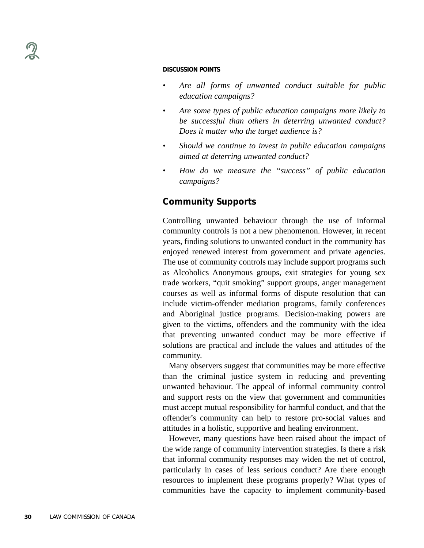- *Are all forms of unwanted conduct suitable for public education campaigns?*
- *Are some types of public education campaigns more likely to be successful than others in deterring unwanted conduct? Does it matter who the target audience is?*
- *• Should we continue to invest in public education campaigns aimed at deterring unwanted conduct?*
- *• How do we measure the "success" of public education campaigns?*

# **Community Supports**

Controlling unwanted behaviour through the use of informal community controls is not a new phenomenon. However, in recent years, finding solutions to unwanted conduct in the community has enjoyed renewed interest from government and private agencies. The use of community controls may include support programs such as Alcoholics Anonymous groups, exit strategies for young sex trade workers, "quit smoking" support groups, anger management courses as well as informal forms of dispute resolution that can include victim-offender mediation programs, family conferences and Aboriginal justice programs. Decision-making powers are given to the victims, offenders and the community with the idea that preventing unwanted conduct may be more effective if solutions are practical and include the values and attitudes of the community.

Many observers suggest that communities may be more effective than the criminal justice system in reducing and preventing unwanted behaviour. The appeal of informal community control and support rests on the view that government and communities must accept mutual responsibility for harmful conduct, and that the offender's community can help to restore pro-social values and attitudes in a holistic, supportive and healing environment.

However, many questions have been raised about the impact of the wide range of community intervention strategies. Is there a risk that informal community responses may widen the net of control, particularly in cases of less serious conduct? Are there enough resources to implement these programs properly? What types of communities have the capacity to implement community-based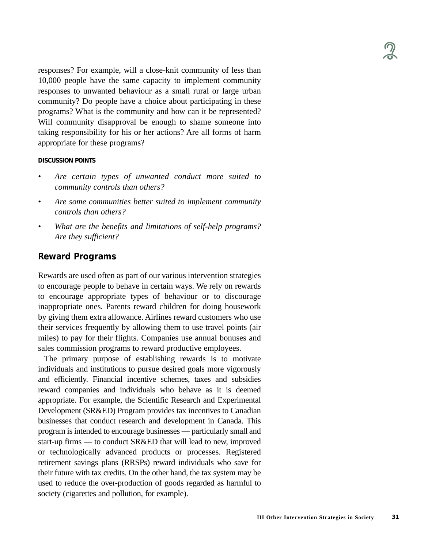responses? For example, will a close-knit community of less than 10,000 people have the same capacity to implement community responses to unwanted behaviour as a small rural or large urban community? Do people have a choice about participating in these programs? What is the community and how can it be represented? Will community disapproval be enough to shame someone into taking responsibility for his or her actions? Are all forms of harm appropriate for these programs?

#### **DISCUSSION POINTS**

- *Are certain types of unwanted conduct more suited to community controls than others?*
- *Are some communities better suited to implement community controls than others?*
- *• What are the benefits and limitations of self-help programs? Are they sufficient?*

## **Reward Programs**

Rewards are used often as part of our various intervention strategies to encourage people to behave in certain ways. We rely on rewards to encourage appropriate types of behaviour or to discourage inappropriate ones. Parents reward children for doing housework by giving them extra allowance. Airlines reward customers who use their services frequently by allowing them to use travel points (air miles) to pay for their flights. Companies use annual bonuses and sales commission programs to reward productive employees.

The primary purpose of establishing rewards is to motivate individuals and institutions to pursue desired goals more vigorously and efficiently. Financial incentive schemes, taxes and subsidies reward companies and individuals who behave as it is deemed appropriate. For example, the Scientific Research and Experimental Development (SR&ED) Program provides tax incentives to Canadian businesses that conduct research and development in Canada. This program is intended to encourage businesses — particularly small and start-up firms — to conduct SR&ED that will lead to new, improved or technologically advanced products or processes. Registered retirement savings plans (RRSPs) reward individuals who save for their future with tax credits. On the other hand, the tax system may be used to reduce the over-production of goods regarded as harmful to society (cigarettes and pollution, for example).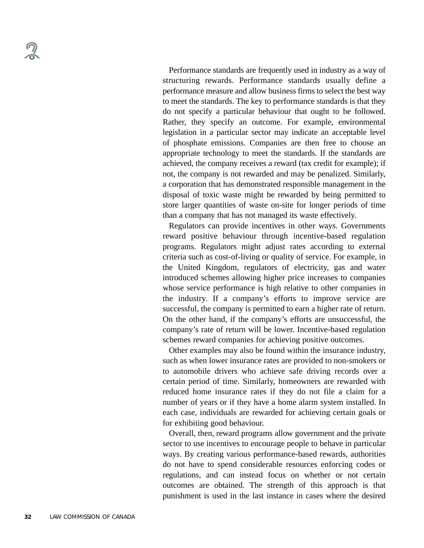Performance standards are frequently used in industry as a way of structuring rewards. Performance standards usually define a performance measure and allow business firms to select the best way to meet the standards. The key to performance standards is that they do not specify a particular behaviour that ought to be followed. Rather, they specify an outcome. For example, environmental legislation in a particular sector may indicate an acceptable level of phosphate emissions. Companies are then free to choose an appropriate technology to meet the standards. If the standards are achieved, the company receives a reward (tax credit for example); if not, the company is not rewarded and may be penalized. Similarly, a corporation that has demonstrated responsible management in the disposal of toxic waste might be rewarded by being permitted to store larger quantities of waste on-site for longer periods of time than a company that has not managed its waste effectively.

Regulators can provide incentives in other ways. Governments reward positive behaviour through incentive-based regulation programs. Regulators might adjust rates according to external criteria such as cost-of-living or quality of service. For example, in the United Kingdom, regulators of electricity, gas and water introduced schemes allowing higher price increases to companies whose service performance is high relative to other companies in the industry. If a company's efforts to improve service are successful, the company is permitted to earn a higher rate of return. On the other hand, if the company's efforts are unsuccessful, the company's rate of return will be lower. Incentive-based regulation schemes reward companies for achieving positive outcomes.

Other examples may also be found within the insurance industry, such as when lower insurance rates are provided to non-smokers or to automobile drivers who achieve safe driving records over a certain period of time. Similarly, homeowners are rewarded with reduced home insurance rates if they do not file a claim for a number of years or if they have a home alarm system installed. In each case, individuals are rewarded for achieving certain goals or for exhibiting good behaviour.

Overall, then, reward programs allow government and the private sector to use incentives to encourage people to behave in particular ways. By creating various performance-based rewards, authorities do not have to spend considerable resources enforcing codes or regulations, and can instead focus on whether or not certain outcomes are obtained. The strength of this approach is that punishment is used in the last instance in cases where the desired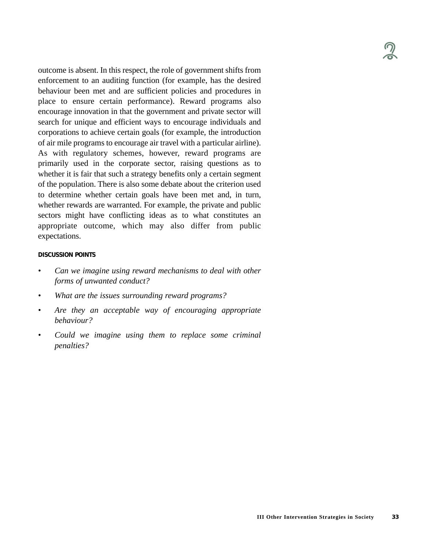

outcome is absent. In this respect, the role of government shifts from enforcement to an auditing function (for example, has the desired behaviour been met and are sufficient policies and procedures in place to ensure certain performance). Reward programs also encourage innovation in that the government and private sector will search for unique and efficient ways to encourage individuals and corporations to achieve certain goals (for example, the introduction of air mile programs to encourage air travel with a particular airline). As with regulatory schemes, however, reward programs are primarily used in the corporate sector, raising questions as to whether it is fair that such a strategy benefits only a certain segment of the population. There is also some debate about the criterion used to determine whether certain goals have been met and, in turn, whether rewards are warranted. For example, the private and public sectors might have conflicting ideas as to what constitutes an appropriate outcome, which may also differ from public expectations.

#### **DISCUSSION POINTS**

- *• Can we imagine using reward mechanisms to deal with other forms of unwanted conduct?*
- *• What are the issues surrounding reward programs?*
- *Are they an acceptable way of encouraging appropriate behaviour?*
- *Could we imagine using them to replace some criminal penalties?*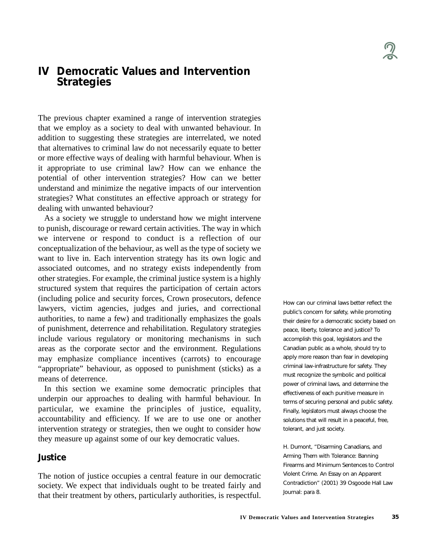# **IV Democratic Values and Intervention Strategies**

The previous chapter examined a range of intervention strategies that we employ as a society to deal with unwanted behaviour. In addition to suggesting these strategies are interrelated, we noted that alternatives to criminal law do not necessarily equate to better or more effective ways of dealing with harmful behaviour. When is it appropriate to use criminal law? How can we enhance the potential of other intervention strategies? How can we better understand and minimize the negative impacts of our intervention strategies? What constitutes an effective approach or strategy for dealing with unwanted behaviour?

As a society we struggle to understand how we might intervene to punish, discourage or reward certain activities. The way in which we intervene or respond to conduct is a reflection of our conceptualization of the behaviour, as well as the type of society we want to live in. Each intervention strategy has its own logic and associated outcomes, and no strategy exists independently from other strategies. For example, the criminal justice system is a highly structured system that requires the participation of certain actors (including police and security forces, Crown prosecutors, defence lawyers, victim agencies, judges and juries, and correctional authorities, to name a few) and traditionally emphasizes the goals of punishment, deterrence and rehabilitation. Regulatory strategies include various regulatory or monitoring mechanisms in such areas as the corporate sector and the environment. Regulations may emphasize compliance incentives (carrots) to encourage "appropriate" behaviour, as opposed to punishment (sticks) as a means of deterrence.

In this section we examine some democratic principles that underpin our approaches to dealing with harmful behaviour. In particular, we examine the principles of justice, equality, accountability and efficiency. If we are to use one or another intervention strategy or strategies, then we ought to consider how they measure up against some of our key democratic values.

## **Justice**

The notion of justice occupies a central feature in our democratic society. We expect that individuals ought to be treated fairly and that their treatment by others, particularly authorities, is respectful. How can our criminal laws better reflect the public's concern for safety, while promoting their desire for a democratic society based on peace, liberty, tolerance and justice? To accomplish this goal, legislators and the Canadian public as a whole, should try to apply more reason than fear in developing criminal law-infrastructure for safety. They must recognize the symbolic and political power of criminal laws, and determine the effectiveness of each punitive measure in terms of securing personal and public safety. Finally, legislators must always choose the solutions that will result in a peaceful, free, tolerant, and just society.

H. Dumont, "Disarming Canadians, and Arming Them with Tolerance: Banning Firearms and Minimum Sentences to Control Violent Crime. An Essay on an Apparent Contradiction" (2001) 39 Osgoode Hall Law Journal: para 8.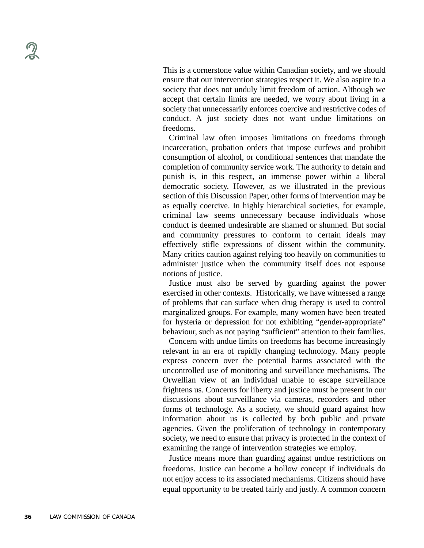This is a cornerstone value within Canadian society, and we should ensure that our intervention strategies respect it. We also aspire to a society that does not unduly limit freedom of action. Although we accept that certain limits are needed, we worry about living in a society that unnecessarily enforces coercive and restrictive codes of conduct. A just society does not want undue limitations on freedoms.

Criminal law often imposes limitations on freedoms through incarceration, probation orders that impose curfews and prohibit consumption of alcohol, or conditional sentences that mandate the completion of community service work. The authority to detain and punish is, in this respect, an immense power within a liberal democratic society. However, as we illustrated in the previous section of this Discussion Paper, other forms of intervention may be as equally coercive. In highly hierarchical societies, for example, criminal law seems unnecessary because individuals whose conduct is deemed undesirable are shamed or shunned. But social and community pressures to conform to certain ideals may effectively stifle expressions of dissent within the community. Many critics caution against relying too heavily on communities to administer justice when the community itself does not espouse notions of justice.

Justice must also be served by guarding against the power exercised in other contexts. Historically, we have witnessed a range of problems that can surface when drug therapy is used to control marginalized groups. For example, many women have been treated for hysteria or depression for not exhibiting "gender-appropriate" behaviour, such as not paying "sufficient" attention to their families.

Concern with undue limits on freedoms has become increasingly relevant in an era of rapidly changing technology. Many people express concern over the potential harms associated with the uncontrolled use of monitoring and surveillance mechanisms. The Orwellian view of an individual unable to escape surveillance frightens us. Concerns for liberty and justice must be present in our discussions about surveillance via cameras, recorders and other forms of technology. As a society, we should guard against how information about us is collected by both public and private agencies. Given the proliferation of technology in contemporary society, we need to ensure that privacy is protected in the context of examining the range of intervention strategies we employ.

Justice means more than guarding against undue restrictions on freedoms. Justice can become a hollow concept if individuals do not enjoy access to its associated mechanisms. Citizens should have equal opportunity to be treated fairly and justly. A common concern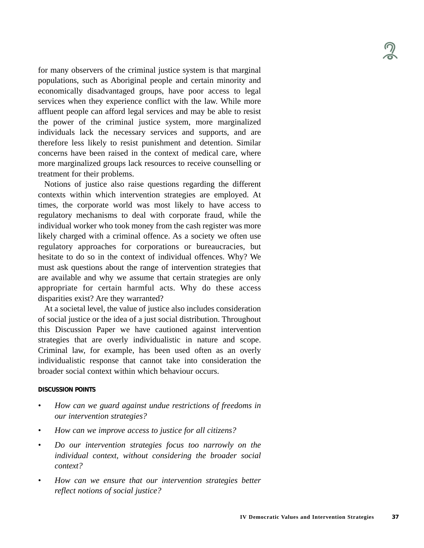for many observers of the criminal justice system is that marginal populations, such as Aboriginal people and certain minority and economically disadvantaged groups, have poor access to legal services when they experience conflict with the law. While more affluent people can afford legal services and may be able to resist the power of the criminal justice system, more marginalized individuals lack the necessary services and supports, and are therefore less likely to resist punishment and detention. Similar concerns have been raised in the context of medical care, where more marginalized groups lack resources to receive counselling or treatment for their problems.

Notions of justice also raise questions regarding the different contexts within which intervention strategies are employed. At times, the corporate world was most likely to have access to regulatory mechanisms to deal with corporate fraud, while the individual worker who took money from the cash register was more likely charged with a criminal offence. As a society we often use regulatory approaches for corporations or bureaucracies, but hesitate to do so in the context of individual offences. Why? We must ask questions about the range of intervention strategies that are available and why we assume that certain strategies are only appropriate for certain harmful acts. Why do these access disparities exist? Are they warranted?

At a societal level, the value of justice also includes consideration of social justice or the idea of a just social distribution. Throughout this Discussion Paper we have cautioned against intervention strategies that are overly individualistic in nature and scope. Criminal law, for example, has been used often as an overly individualistic response that cannot take into consideration the broader social context within which behaviour occurs.

#### **DISCUSSION POINTS**

- *• How can we guard against undue restrictions of freedoms in our intervention strategies?*
- *How can we improve access to justice for all citizens?*
- *• Do our intervention strategies focus too narrowly on the individual context, without considering the broader social context?*
- *• How can we ensure that our intervention strategies better reflect notions of social justice?*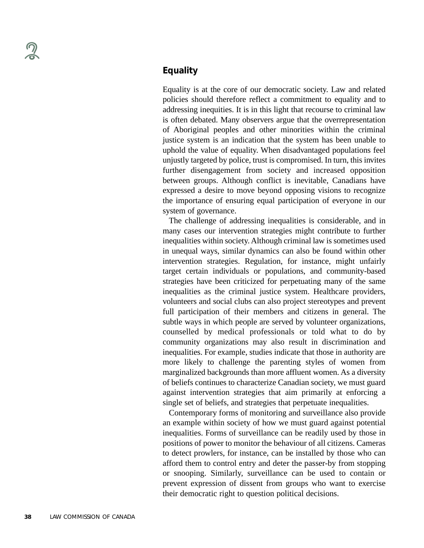# **Equality**

Equality is at the core of our democratic society. Law and related policies should therefore reflect a commitment to equality and to addressing inequities. It is in this light that recourse to criminal law is often debated. Many observers argue that the overrepresentation of Aboriginal peoples and other minorities within the criminal justice system is an indication that the system has been unable to uphold the value of equality. When disadvantaged populations feel unjustly targeted by police, trust is compromised. In turn, this invites further disengagement from society and increased opposition between groups. Although conflict is inevitable, Canadians have expressed a desire to move beyond opposing visions to recognize the importance of ensuring equal participation of everyone in our system of governance.

The challenge of addressing inequalities is considerable, and in many cases our intervention strategies might contribute to further inequalities within society. Although criminal law is sometimes used in unequal ways, similar dynamics can also be found within other intervention strategies. Regulation, for instance, might unfairly target certain individuals or populations, and community-based strategies have been criticized for perpetuating many of the same inequalities as the criminal justice system. Healthcare providers, volunteers and social clubs can also project stereotypes and prevent full participation of their members and citizens in general. The subtle ways in which people are served by volunteer organizations, counselled by medical professionals or told what to do by community organizations may also result in discrimination and inequalities. For example, studies indicate that those in authority are more likely to challenge the parenting styles of women from marginalized backgrounds than more affluent women. As a diversity of beliefs continues to characterize Canadian society, we must guard against intervention strategies that aim primarily at enforcing a single set of beliefs, and strategies that perpetuate inequalities.

Contemporary forms of monitoring and surveillance also provide an example within society of how we must guard against potential inequalities. Forms of surveillance can be readily used by those in positions of power to monitor the behaviour of all citizens. Cameras to detect prowlers, for instance, can be installed by those who can afford them to control entry and deter the passer-by from stopping or snooping. Similarly, surveillance can be used to contain or prevent expression of dissent from groups who want to exercise their democratic right to question political decisions.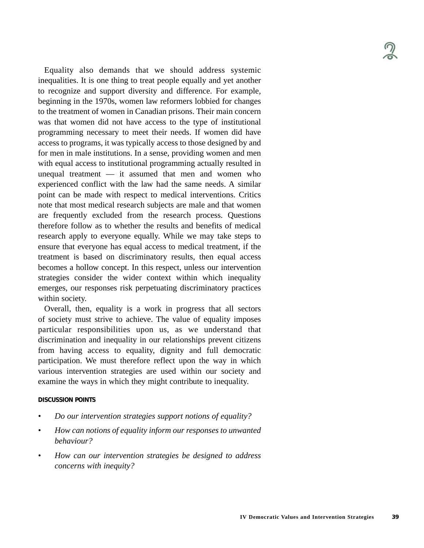Equality also demands that we should address systemic inequalities. It is one thing to treat people equally and yet another to recognize and support diversity and difference. For example, beginning in the 1970s, women law reformers lobbied for changes to the treatment of women in Canadian prisons. Their main concern was that women did not have access to the type of institutional programming necessary to meet their needs. If women did have access to programs, it was typically access to those designed by and for men in male institutions. In a sense, providing women and men with equal access to institutional programming actually resulted in unequal treatment — it assumed that men and women who experienced conflict with the law had the same needs. A similar point can be made with respect to medical interventions. Critics note that most medical research subjects are male and that women are frequently excluded from the research process. Questions therefore follow as to whether the results and benefits of medical research apply to everyone equally. While we may take steps to ensure that everyone has equal access to medical treatment, if the treatment is based on discriminatory results, then equal access becomes a hollow concept. In this respect, unless our intervention strategies consider the wider context within which inequality emerges, our responses risk perpetuating discriminatory practices within society.

Overall, then, equality is a work in progress that all sectors of society must strive to achieve. The value of equality imposes particular responsibilities upon us, as we understand that discrimination and inequality in our relationships prevent citizens from having access to equality, dignity and full democratic participation. We must therefore reflect upon the way in which various intervention strategies are used within our society and examine the ways in which they might contribute to inequality.

#### **DISCUSSION POINTS**

- *• Do our intervention strategies support notions of equality?*
- *How can notions of equality inform our responses to unwanted behaviour?*
- *• How can our intervention strategies be designed to address concerns with inequity?*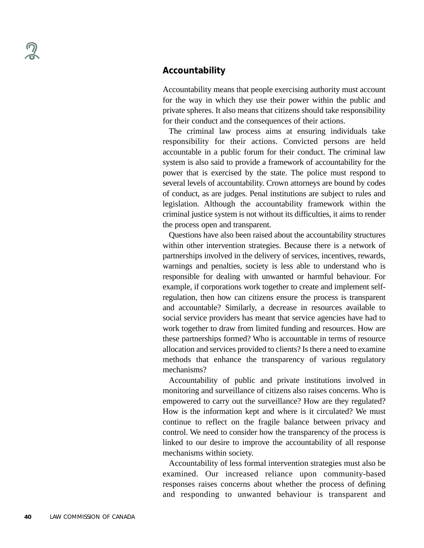Accountability means that people exercising authority must account for the way in which they use their power within the public and private spheres. It also means that citizens should take responsibility for their conduct and the consequences of their actions.

The criminal law process aims at ensuring individuals take responsibility for their actions. Convicted persons are held accountable in a public forum for their conduct. The criminal law system is also said to provide a framework of accountability for the power that is exercised by the state. The police must respond to several levels of accountability. Crown attorneys are bound by codes of conduct, as are judges. Penal institutions are subject to rules and legislation. Although the accountability framework within the criminal justice system is not without its difficulties, it aims to render the process open and transparent.

Questions have also been raised about the accountability structures within other intervention strategies. Because there is a network of partnerships involved in the delivery of services, incentives, rewards, warnings and penalties, society is less able to understand who is responsible for dealing with unwanted or harmful behaviour. For example, if corporations work together to create and implement selfregulation, then how can citizens ensure the process is transparent and accountable? Similarly, a decrease in resources available to social service providers has meant that service agencies have had to work together to draw from limited funding and resources. How are these partnerships formed? Who is accountable in terms of resource allocation and services provided to clients? Is there a need to examine methods that enhance the transparency of various regulatory mechanisms?

Accountability of public and private institutions involved in monitoring and surveillance of citizens also raises concerns. Who is empowered to carry out the surveillance? How are they regulated? How is the information kept and where is it circulated? We must continue to reflect on the fragile balance between privacy and control. We need to consider how the transparency of the process is linked to our desire to improve the accountability of all response mechanisms within society.

Accountability of less formal intervention strategies must also be examined. Our increased reliance upon community-based responses raises concerns about whether the process of defining and responding to unwanted behaviour is transparent and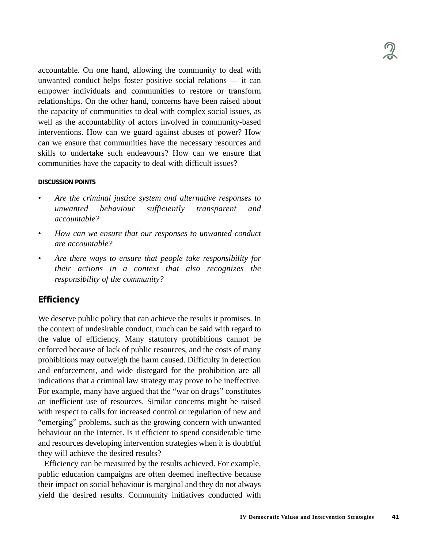accountable. On one hand, allowing the community to deal with unwanted conduct helps foster positive social relations — it can empower individuals and communities to restore or transform relationships. On the other hand, concerns have been raised about the capacity of communities to deal with complex social issues, as well as the accountability of actors involved in community-based interventions. How can we guard against abuses of power? How can we ensure that communities have the necessary resources and skills to undertake such endeavours? How can we ensure that communities have the capacity to deal with difficult issues?

#### **DISCUSSION POINTS**

- *Are the criminal justice system and alternative responses to unwanted behaviour sufficiently transparent and accountable?*
- *• How can we ensure that our responses to unwanted conduct are accountable?*
- *Are there ways to ensure that people take responsibility for their actions in a context that also recognizes the responsibility of the community?*

### **Efficiency**

We deserve public policy that can achieve the results it promises. In the context of undesirable conduct, much can be said with regard to the value of efficiency. Many statutory prohibitions cannot be enforced because of lack of public resources, and the costs of many prohibitions may outweigh the harm caused. Difficulty in detection and enforcement, and wide disregard for the prohibition are all indications that a criminal law strategy may prove to be ineffective. For example, many have argued that the "war on drugs" constitutes an inefficient use of resources. Similar concerns might be raised with respect to calls for increased control or regulation of new and "emerging" problems, such as the growing concern with unwanted behaviour on the Internet. Is it efficient to spend considerable time and resources developing intervention strategies when it is doubtful they will achieve the desired results?

Efficiency can be measured by the results achieved. For example, public education campaigns are often deemed ineffective because their impact on social behaviour is marginal and they do not always yield the desired results. Community initiatives conducted with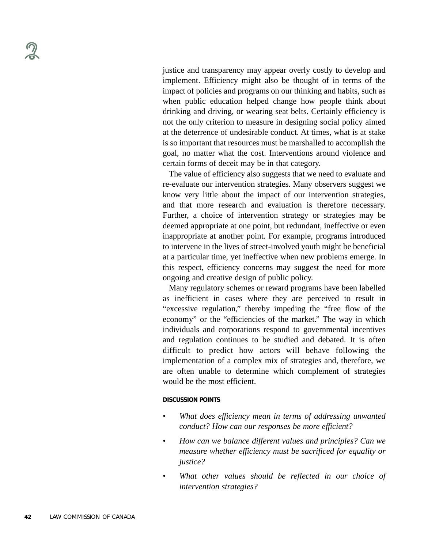justice and transparency may appear overly costly to develop and implement. Efficiency might also be thought of in terms of the impact of policies and programs on our thinking and habits, such as when public education helped change how people think about drinking and driving, or wearing seat belts. Certainly efficiency is not the only criterion to measure in designing social policy aimed at the deterrence of undesirable conduct. At times, what is at stake is so important that resources must be marshalled to accomplish the goal, no matter what the cost. Interventions around violence and certain forms of deceit may be in that category.

The value of efficiency also suggests that we need to evaluate and re-evaluate our intervention strategies. Many observers suggest we know very little about the impact of our intervention strategies, and that more research and evaluation is therefore necessary. Further, a choice of intervention strategy or strategies may be deemed appropriate at one point, but redundant, ineffective or even inappropriate at another point. For example, programs introduced to intervene in the lives of street-involved youth might be beneficial at a particular time, yet ineffective when new problems emerge. In this respect, efficiency concerns may suggest the need for more ongoing and creative design of public policy.

Many regulatory schemes or reward programs have been labelled as inefficient in cases where they are perceived to result in "excessive regulation," thereby impeding the "free flow of the economy" or the "efficiencies of the market." The way in which individuals and corporations respond to governmental incentives and regulation continues to be studied and debated. It is often difficult to predict how actors will behave following the implementation of a complex mix of strategies and, therefore, we are often unable to determine which complement of strategies would be the most efficient.

#### **DISCUSSION POINTS**

- *• What does efficiency mean in terms of addressing unwanted conduct? How can our responses be more efficient?*
- *How can we balance different values and principles? Can we measure whether efficiency must be sacrificed for equality or justice?*
- *What other values should be reflected in our choice of intervention strategies?*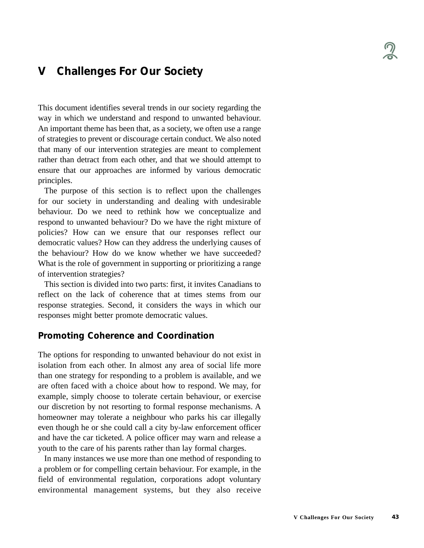# **V Challenges For Our Society**

This document identifies several trends in our society regarding the way in which we understand and respond to unwanted behaviour. An important theme has been that, as a society, we often use a range of strategies to prevent or discourage certain conduct. We also noted that many of our intervention strategies are meant to complement rather than detract from each other, and that we should attempt to ensure that our approaches are informed by various democratic principles.

The purpose of this section is to reflect upon the challenges for our society in understanding and dealing with undesirable behaviour. Do we need to rethink how we conceptualize and respond to unwanted behaviour? Do we have the right mixture of policies? How can we ensure that our responses reflect our democratic values? How can they address the underlying causes of the behaviour? How do we know whether we have succeeded? What is the role of government in supporting or prioritizing a range of intervention strategies?

This section is divided into two parts: first, it invites Canadians to reflect on the lack of coherence that at times stems from our response strategies. Second, it considers the ways in which our responses might better promote democratic values.

## **Promoting Coherence and Coordination**

The options for responding to unwanted behaviour do not exist in isolation from each other. In almost any area of social life more than one strategy for responding to a problem is available, and we are often faced with a choice about how to respond. We may, for example, simply choose to tolerate certain behaviour, or exercise our discretion by not resorting to formal response mechanisms. A homeowner may tolerate a neighbour who parks his car illegally even though he or she could call a city by-law enforcement officer and have the car ticketed. A police officer may warn and release a youth to the care of his parents rather than lay formal charges.

In many instances we use more than one method of responding to a problem or for compelling certain behaviour. For example, in the field of environmental regulation, corporations adopt voluntary environmental management systems, but they also receive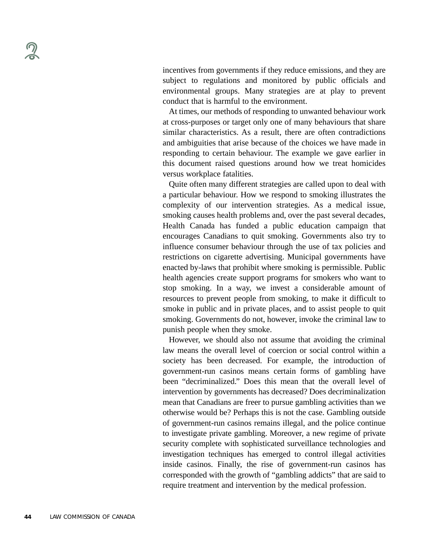incentives from governments if they reduce emissions, and they are subject to regulations and monitored by public officials and environmental groups. Many strategies are at play to prevent conduct that is harmful to the environment.

At times, our methods of responding to unwanted behaviour work at cross-purposes or target only one of many behaviours that share similar characteristics. As a result, there are often contradictions and ambiguities that arise because of the choices we have made in responding to certain behaviour. The example we gave earlier in this document raised questions around how we treat homicides versus workplace fatalities.

Quite often many different strategies are called upon to deal with a particular behaviour. How we respond to smoking illustrates the complexity of our intervention strategies. As a medical issue, smoking causes health problems and, over the past several decades, Health Canada has funded a public education campaign that encourages Canadians to quit smoking. Governments also try to influence consumer behaviour through the use of tax policies and restrictions on cigarette advertising. Municipal governments have enacted by-laws that prohibit where smoking is permissible. Public health agencies create support programs for smokers who want to stop smoking. In a way, we invest a considerable amount of resources to prevent people from smoking, to make it difficult to smoke in public and in private places, and to assist people to quit smoking. Governments do not, however, invoke the criminal law to punish people when they smoke.

However, we should also not assume that avoiding the criminal law means the overall level of coercion or social control within a society has been decreased. For example, the introduction of government-run casinos means certain forms of gambling have been "decriminalized." Does this mean that the overall level of intervention by governments has decreased? Does decriminalization mean that Canadians are freer to pursue gambling activities than we otherwise would be? Perhaps this is not the case. Gambling outside of government-run casinos remains illegal, and the police continue to investigate private gambling. Moreover, a new regime of private security complete with sophisticated surveillance technologies and investigation techniques has emerged to control illegal activities inside casinos. Finally, the rise of government-run casinos has corresponded with the growth of "gambling addicts" that are said to require treatment and intervention by the medical profession.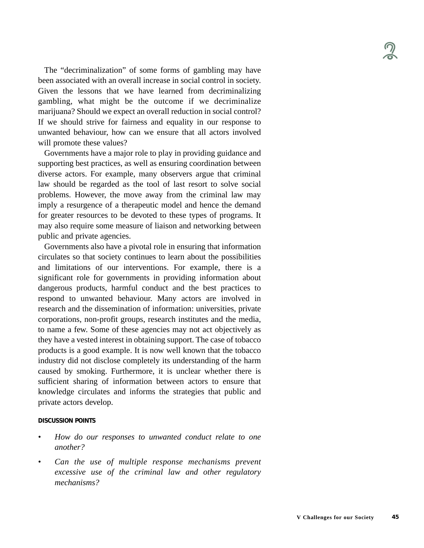The "decriminalization" of some forms of gambling may have been associated with an overall increase in social control in society. Given the lessons that we have learned from decriminalizing gambling, what might be the outcome if we decriminalize marijuana? Should we expect an overall reduction in social control? If we should strive for fairness and equality in our response to unwanted behaviour, how can we ensure that all actors involved will promote these values?

Governments have a major role to play in providing guidance and supporting best practices, as well as ensuring coordination between diverse actors. For example, many observers argue that criminal law should be regarded as the tool of last resort to solve social problems. However, the move away from the criminal law may imply a resurgence of a therapeutic model and hence the demand for greater resources to be devoted to these types of programs. It may also require some measure of liaison and networking between public and private agencies.

Governments also have a pivotal role in ensuring that information circulates so that society continues to learn about the possibilities and limitations of our interventions. For example, there is a significant role for governments in providing information about dangerous products, harmful conduct and the best practices to respond to unwanted behaviour. Many actors are involved in research and the dissemination of information: universities, private corporations, non-profit groups, research institutes and the media, to name a few. Some of these agencies may not act objectively as they have a vested interest in obtaining support. The case of tobacco products is a good example. It is now well known that the tobacco industry did not disclose completely its understanding of the harm caused by smoking. Furthermore, it is unclear whether there is sufficient sharing of information between actors to ensure that knowledge circulates and informs the strategies that public and private actors develop.

#### **DISCUSSION POINTS**

- *• How do our responses to unwanted conduct relate to one another?*
- *• Can the use of multiple response mechanisms prevent excessive use of the criminal law and other regulatory mechanisms?*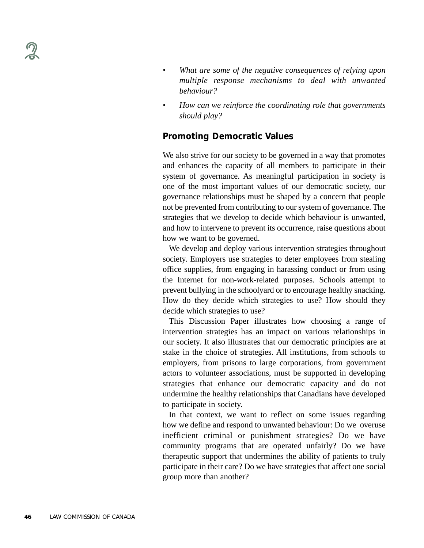- *• What are some of the negative consequences of relying upon multiple response mechanisms to deal with unwanted behaviour?*
- *• How can we reinforce the coordinating role that governments should play?*

# **Promoting Democratic Values**

We also strive for our society to be governed in a way that promotes and enhances the capacity of all members to participate in their system of governance. As meaningful participation in society is one of the most important values of our democratic society, our governance relationships must be shaped by a concern that people not be prevented from contributing to our system of governance. The strategies that we develop to decide which behaviour is unwanted, and how to intervene to prevent its occurrence, raise questions about how we want to be governed.

We develop and deploy various intervention strategies throughout society. Employers use strategies to deter employees from stealing office supplies, from engaging in harassing conduct or from using the Internet for non-work-related purposes. Schools attempt to prevent bullying in the schoolyard or to encourage healthy snacking. How do they decide which strategies to use? How should they decide which strategies to use?

This Discussion Paper illustrates how choosing a range of intervention strategies has an impact on various relationships in our society. It also illustrates that our democratic principles are at stake in the choice of strategies. All institutions, from schools to employers, from prisons to large corporations, from government actors to volunteer associations, must be supported in developing strategies that enhance our democratic capacity and do not undermine the healthy relationships that Canadians have developed to participate in society.

In that context, we want to reflect on some issues regarding how we define and respond to unwanted behaviour: Do we overuse inefficient criminal or punishment strategies? Do we have community programs that are operated unfairly? Do we have therapeutic support that undermines the ability of patients to truly participate in their care? Do we have strategies that affect one social group more than another?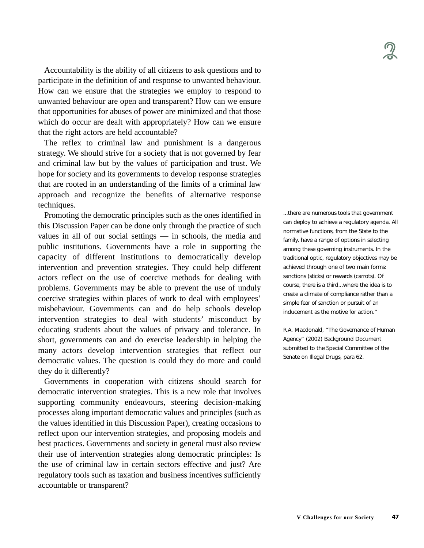Accountability is the ability of all citizens to ask questions and to participate in the definition of and response to unwanted behaviour. How can we ensure that the strategies we employ to respond to unwanted behaviour are open and transparent? How can we ensure that opportunities for abuses of power are minimized and that those which do occur are dealt with appropriately? How can we ensure that the right actors are held accountable?

The reflex to criminal law and punishment is a dangerous strategy. We should strive for a society that is not governed by fear and criminal law but by the values of participation and trust. We hope for society and its governments to develop response strategies that are rooted in an understanding of the limits of a criminal law approach and recognize the benefits of alternative response techniques.

Promoting the democratic principles such as the ones identified in this Discussion Paper can be done only through the practice of such values in all of our social settings — in schools, the media and public institutions. Governments have a role in supporting the capacity of different institutions to democratically develop intervention and prevention strategies. They could help different actors reflect on the use of coercive methods for dealing with problems. Governments may be able to prevent the use of unduly coercive strategies within places of work to deal with employees' misbehaviour. Governments can and do help schools develop intervention strategies to deal with students' misconduct by educating students about the values of privacy and tolerance. In short, governments can and do exercise leadership in helping the many actors develop intervention strategies that reflect our democratic values. The question is could they do more and could they do it differently?

Governments in cooperation with citizens should search for democratic intervention strategies. This is a new role that involves supporting community endeavours, steering decision-making processes along important democratic values and principles (such as the values identified in this Discussion Paper), creating occasions to reflect upon our intervention strategies, and proposing models and best practices. Governments and society in general must also review their use of intervention strategies along democratic principles: Is the use of criminal law in certain sectors effective and just? Are regulatory tools such as taxation and business incentives sufficiently accountable or transparent?

...there are numerous tools that government can deploy to achieve a regulatory agenda. All normative functions, from the State to the family, have a range of options in selecting among these governing instruments. In the traditional optic, regulatory objectives may be achieved through one of two main forms: sanctions (sticks) or rewards (carrots). Of course, there is a third...where the idea is to create a climate of compliance rather than a simple fear of sanction or pursuit of an inducement as the motive for action."

R.A. Macdonald, "The Governance of Human Agency" (2002) Background Document submitted to the Special Committee of the Senate on Illegal Drugs, para 62.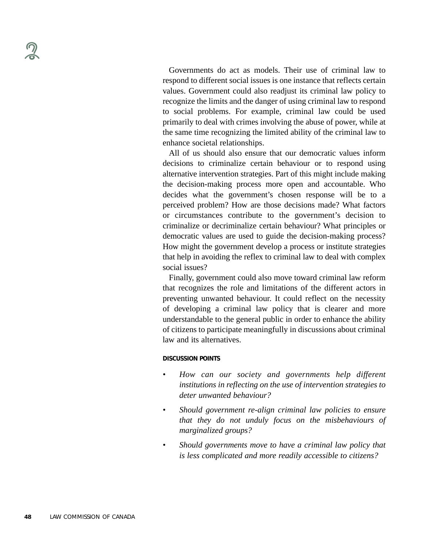Governments do act as models. Their use of criminal law to respond to different social issues is one instance that reflects certain values. Government could also readjust its criminal law policy to recognize the limits and the danger of using criminal law to respond to social problems. For example, criminal law could be used primarily to deal with crimes involving the abuse of power, while at the same time recognizing the limited ability of the criminal law to enhance societal relationships.

All of us should also ensure that our democratic values inform decisions to criminalize certain behaviour or to respond using alternative intervention strategies. Part of this might include making the decision-making process more open and accountable. Who decides what the government's chosen response will be to a perceived problem? How are those decisions made? What factors or circumstances contribute to the government's decision to criminalize or decriminalize certain behaviour? What principles or democratic values are used to guide the decision-making process? How might the government develop a process or institute strategies that help in avoiding the reflex to criminal law to deal with complex social issues?

Finally, government could also move toward criminal law reform that recognizes the role and limitations of the different actors in preventing unwanted behaviour. It could reflect on the necessity of developing a criminal law policy that is clearer and more understandable to the general public in order to enhance the ability of citizens to participate meaningfully in discussions about criminal law and its alternatives.

#### **DISCUSSION POINTS**

- *• How can our society and governments help different institutions in reflecting on the use of intervention strategies to deter unwanted behaviour?*
- *• Should government re-align criminal law policies to ensure that they do not unduly focus on the misbehaviours of marginalized groups?*
- *• Should governments move to have a criminal law policy that is less complicated and more readily accessible to citizens?*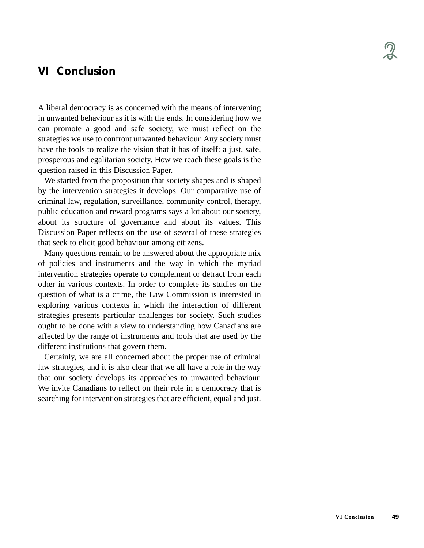# **VI Conclusion**

A liberal democracy is as concerned with the means of intervening in unwanted behaviour as it is with the ends. In considering how we can promote a good and safe society, we must reflect on the strategies we use to confront unwanted behaviour. Any society must have the tools to realize the vision that it has of itself: a just, safe, prosperous and egalitarian society. How we reach these goals is the question raised in this Discussion Paper.

We started from the proposition that society shapes and is shaped by the intervention strategies it develops. Our comparative use of criminal law, regulation, surveillance, community control, therapy, public education and reward programs says a lot about our society, about its structure of governance and about its values. This Discussion Paper reflects on the use of several of these strategies that seek to elicit good behaviour among citizens.

Many questions remain to be answered about the appropriate mix of policies and instruments and the way in which the myriad intervention strategies operate to complement or detract from each other in various contexts. In order to complete its studies on the question of what is a crime, the Law Commission is interested in exploring various contexts in which the interaction of different strategies presents particular challenges for society. Such studies ought to be done with a view to understanding how Canadians are affected by the range of instruments and tools that are used by the different institutions that govern them.

Certainly, we are all concerned about the proper use of criminal law strategies, and it is also clear that we all have a role in the way that our society develops its approaches to unwanted behaviour. We invite Canadians to reflect on their role in a democracy that is searching for intervention strategies that are efficient, equal and just.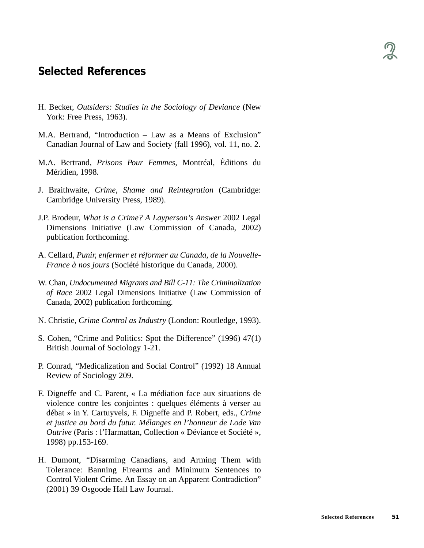# **Selected References**

- H. Becker, *Outsiders: Studies in the Sociology of Deviance* (New York: Free Press, 1963).
- M.A. Bertrand, "Introduction Law as a Means of Exclusion" Canadian Journal of Law and Society (fall 1996), vol. 11, no. 2.
- M.A. Bertrand, *Prisons Pour Femmes,* Montréal, Éditions du Méridien, 1998.
- J. Braithwaite, *Crime, Shame and Reintegration* (Cambridge: Cambridge University Press, 1989).
- J.P. Brodeur, *What is a Crime? A Layperson's Answer* 2002 Legal Dimensions Initiative (Law Commission of Canada, 2002) publication forthcoming.
- A. Cellard, *Punir, enfermer et réformer au Canada, de la Nouvelle-France à nos jours* (Société historique du Canada, 2000).
- W. Chan, *Undocumented Migrants and Bill C-11: The Criminalization of Race* 2002 Legal Dimensions Initiative (Law Commission of Canada, 2002) publication forthcoming.
- N. Christie, *Crime Control as Industry* (London: Routledge, 1993).
- S. Cohen, "Crime and Politics: Spot the Difference" (1996) 47(1) British Journal of Sociology 1-21.
- P. Conrad, "Medicalization and Social Control" (1992) 18 Annual Review of Sociology 209.
- F. Digneffe and C. Parent, « La médiation face aux situations de violence contre les conjointes : quelques éléments à verser au débat » in Y. Cartuyvels, F. Digneffe and P. Robert, eds., *Crime et justice au bord du futur. Mélanges en l'honneur de Lode Van Outrive* (Paris : l'Harmattan, Collection « Déviance et Société », 1998) pp.153-169.
- H. Dumont, "Disarming Canadians, and Arming Them with Tolerance: Banning Firearms and Minimum Sentences to Control Violent Crime. An Essay on an Apparent Contradiction" (2001) 39 Osgoode Hall Law Journal.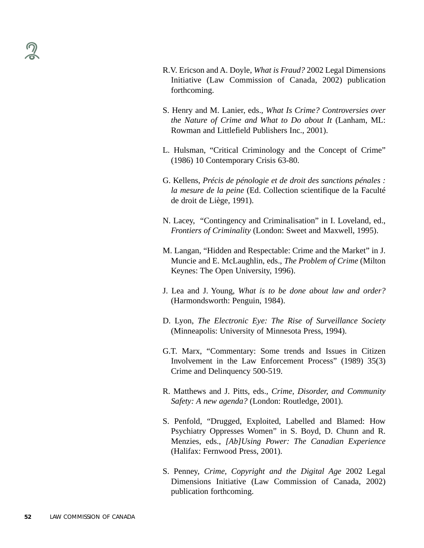- R.V. Ericson and A. Doyle, *What is Fraud?* 2002 Legal Dimensions Initiative (Law Commission of Canada, 2002) publication forthcoming.
- S. Henry and M. Lanier, eds., *What Is Crime? Controversies over the Nature of Crime and What to Do about It* (Lanham, ML: Rowman and Littlefield Publishers Inc., 2001).
- L. Hulsman, "Critical Criminology and the Concept of Crime" (1986) 10 Contemporary Crisis 63-80.
- G. Kellens, *Précis de pénologie et de droit des sanctions pénales : la mesure de la peine* (Ed. Collection scientifique de la Faculté de droit de Liège, 1991).
- N. Lacey, "Contingency and Criminalisation" in I. Loveland, ed., *Frontiers of Criminality* (London: Sweet and Maxwell, 1995).
- M. Langan, "Hidden and Respectable: Crime and the Market" in J. Muncie and E. McLaughlin, eds., *The Problem of Crime* (Milton Keynes: The Open University, 1996).
- J. Lea and J. Young, *What is to be done about law and order?* (Harmondsworth: Penguin, 1984).
- D. Lyon, *The Electronic Eye: The Rise of Surveillance Society* (Minneapolis: University of Minnesota Press, 1994).
- G.T. Marx, "Commentary: Some trends and Issues in Citizen Involvement in the Law Enforcement Process" (1989) 35(3) Crime and Delinquency 500-519.
- R. Matthews and J. Pitts, eds., *Crime, Disorder, and Community Safety: A new agenda?* (London: Routledge, 2001).
- S. Penfold, "Drugged, Exploited, Labelled and Blamed: How Psychiatry Oppresses Women" in S. Boyd, D. Chunn and R. Menzies, eds., *[Ab]Using Power: The Canadian Experience* (Halifax: Fernwood Press, 2001).
- S. Penney, *Crime, Copyright and the Digital Age* 2002 Legal Dimensions Initiative (Law Commission of Canada, 2002) publication forthcoming.